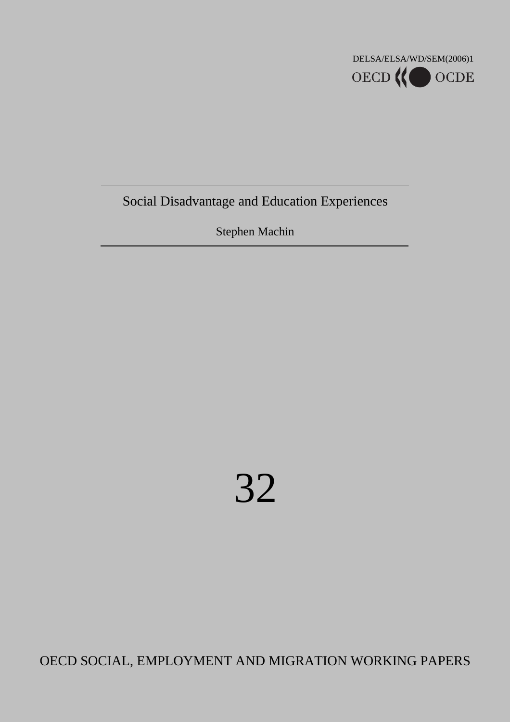

Social Disadvantage and Education Experiences

Stephen Machin

# 32

OECD SOCIAL, EMPLOYMENT AND MIGRATION WORKING PAPERS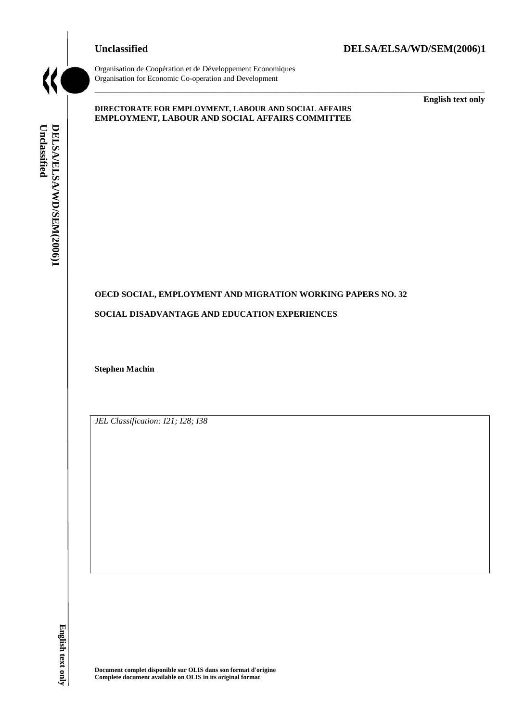#### **Unclassified DELSA/ELSA/WD/SEM(2006)1**



Organisation de Coopération et de Développement Economiques Organisation for Economic Co-operation and Development

#### **DIRECTORATE FOR EMPLOYMENT, LABOUR AND SOCIAL AFFAIRS EMPLOYMENT, LABOUR AND SOCIAL AFFAIRS COMMITTEE**

\_\_\_\_\_\_\_\_\_\_\_\_\_\_\_\_\_\_\_\_\_\_\_\_\_\_\_\_\_\_\_\_\_\_\_\_\_\_\_\_\_\_\_\_\_\_\_\_\_\_\_\_\_\_\_\_\_\_\_\_\_\_\_\_\_\_\_\_\_\_\_\_\_\_\_\_\_\_\_\_\_\_\_\_\_\_\_\_\_\_\_

**English text only**

## Unclassified DELSA/ELSA/WD/SEM(2006)1 **Unclassified DELSA/ELSA/WD/SEM(2006)1**

#### **OECD SOCIAL, EMPLOYMENT AND MIGRATION WORKING PAPERS NO. 32**

#### **SOCIAL DISADVANTAGE AND EDUCATION EXPERIENCES**

**Stephen Machin** 

*JEL Classification: I21; I28; I38*

English text only **nglish text only**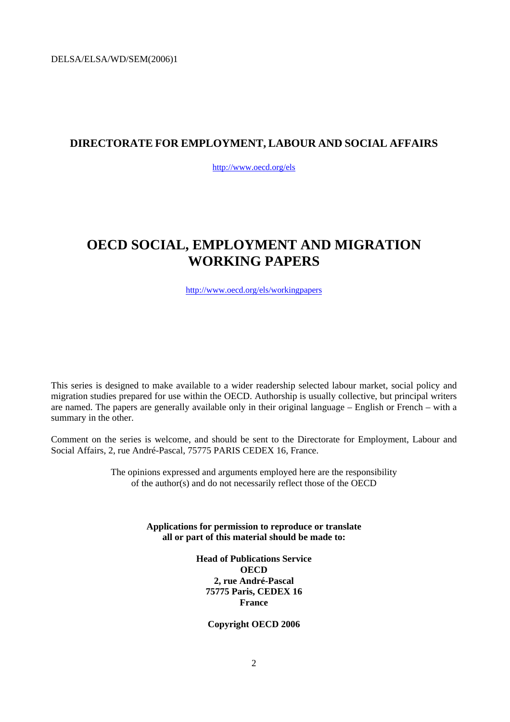### **DIRECTORATE FOR EMPLOYMENT, LABOUR AND SOCIAL AFFAIRS**

<http://www.oecd.org/els>

### **OECD SOCIAL, EMPLOYMENT AND MIGRATION WORKING PAPERS**

<http://www.oecd.org/els/workingpapers>

This series is designed to make available to a wider readership selected labour market, social policy and migration studies prepared for use within the OECD. Authorship is usually collective, but principal writers are named. The papers are generally available only in their original language – English or French – with a summary in the other.

Comment on the series is welcome, and should be sent to the Directorate for Employment, Labour and Social Affairs, 2, rue André-Pascal, 75775 PARIS CEDEX 16, France.

> The opinions expressed and arguments employed here are the responsibility of the author(s) and do not necessarily reflect those of the OECD

> > **Applications for permission to reproduce or translate all or part of this material should be made to:**

> > > **Head of Publications Service OECD 2, rue André-Pascal 75775 Paris, CEDEX 16 France**

> > > > **Copyright OECD 2006**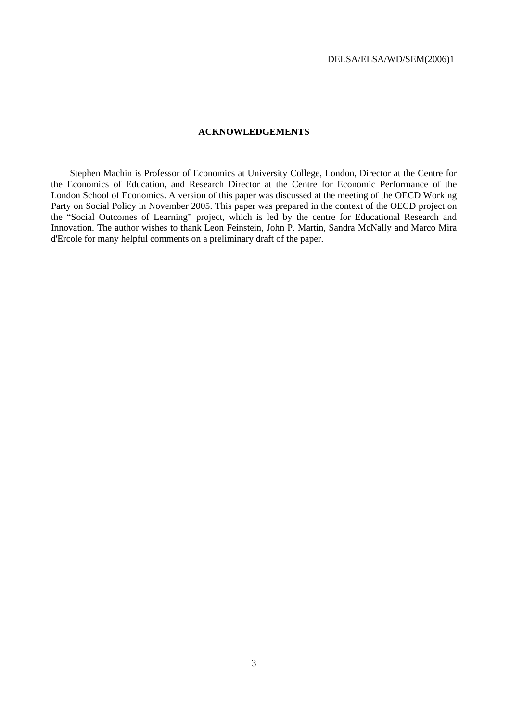#### **ACKNOWLEDGEMENTS**

<span id="page-3-0"></span>Stephen Machin is Professor of Economics at University College, London, Director at the Centre for the Economics of Education, and Research Director at the Centre for Economic Performance of the London School of Economics. A version of this paper was discussed at the meeting of the OECD Working Party on Social Policy in November 2005. This paper was prepared in the context of the OECD project on the "Social Outcomes of Learning" project, which is led by the centre for Educational Research and Innovation. The author wishes to thank Leon Feinstein, John P. Martin, Sandra McNally and Marco Mira d'Ercole for many helpful comments on a preliminary draft of the paper.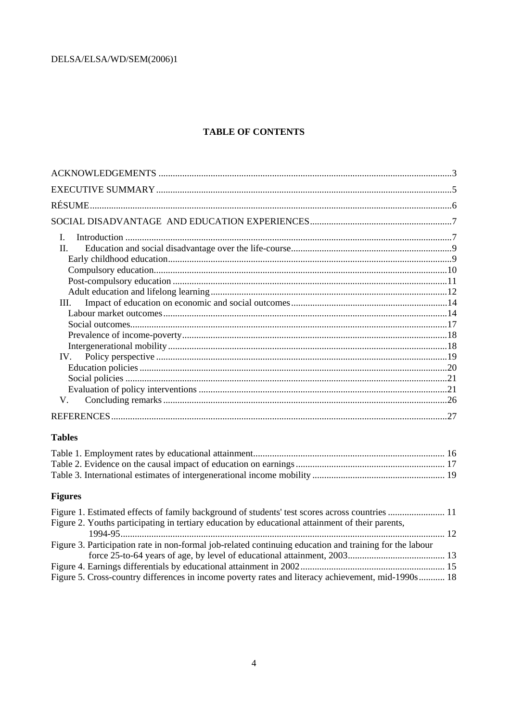### **TABLE OF CONTENTS**

| $\mathbf{I}$ .                                                                                          |  |
|---------------------------------------------------------------------------------------------------------|--|
| II.                                                                                                     |  |
|                                                                                                         |  |
|                                                                                                         |  |
|                                                                                                         |  |
|                                                                                                         |  |
| Ш.                                                                                                      |  |
|                                                                                                         |  |
|                                                                                                         |  |
|                                                                                                         |  |
|                                                                                                         |  |
| IV.                                                                                                     |  |
|                                                                                                         |  |
|                                                                                                         |  |
|                                                                                                         |  |
| V.                                                                                                      |  |
|                                                                                                         |  |
| <b>Tables</b>                                                                                           |  |
|                                                                                                         |  |
|                                                                                                         |  |
|                                                                                                         |  |
| <b>Figures</b>                                                                                          |  |
| Figure 1. Estimated effects of family background of students' test scores across countries  11          |  |
| Figure 2. Youths participating in tertiary education by educational attainment of their parents,        |  |
|                                                                                                         |  |
| Figure 3. Participation rate in non-formal job-related continuing education and training for the labour |  |
|                                                                                                         |  |
|                                                                                                         |  |
| Figure 5. Cross-country differences in income poverty rates and literacy achievement, mid-1990s 18      |  |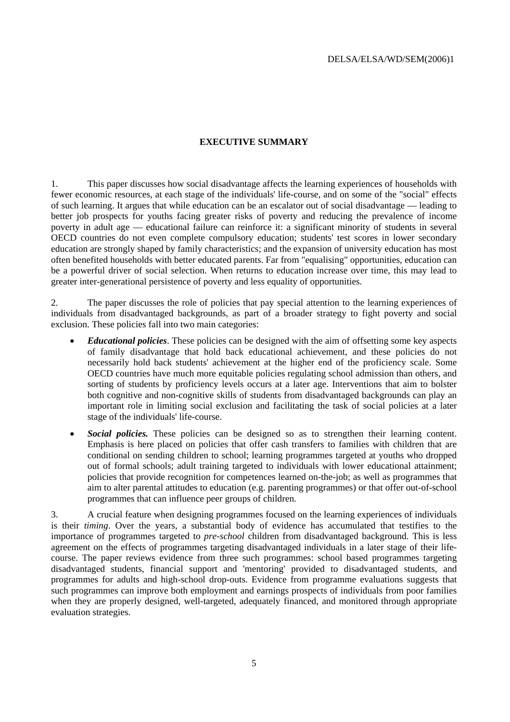#### **EXECUTIVE SUMMARY**

<span id="page-5-0"></span>1. This paper discusses how social disadvantage affects the learning experiences of households with fewer economic resources, at each stage of the individuals' life-course, and on some of the "social" effects of such learning. It argues that while education can be an escalator out of social disadvantage — leading to better job prospects for youths facing greater risks of poverty and reducing the prevalence of income poverty in adult age — educational failure can reinforce it: a significant minority of students in several OECD countries do not even complete compulsory education; students' test scores in lower secondary education are strongly shaped by family characteristics; and the expansion of university education has most often benefited households with better educated parents. Far from "equalising" opportunities, education can be a powerful driver of social selection. When returns to education increase over time, this may lead to greater inter-generational persistence of poverty and less equality of opportunities.

2. The paper discusses the role of policies that pay special attention to the learning experiences of individuals from disadvantaged backgrounds, as part of a broader strategy to fight poverty and social exclusion. These policies fall into two main categories:

- *Educational policies*. These policies can be designed with the aim of offsetting some key aspects of family disadvantage that hold back educational achievement, and these policies do not necessarily hold back students' achievement at the higher end of the proficiency scale. Some OECD countries have much more equitable policies regulating school admission than others, and sorting of students by proficiency levels occurs at a later age. Interventions that aim to bolster both cognitive and non-cognitive skills of students from disadvantaged backgrounds can play an important role in limiting social exclusion and facilitating the task of social policies at a later stage of the individuals' life-course.
- *Social policies*. These policies can be designed so as to strengthen their learning content. Emphasis is here placed on policies that offer cash transfers to families with children that are conditional on sending children to school; learning programmes targeted at youths who dropped out of formal schools; adult training targeted to individuals with lower educational attainment; policies that provide recognition for competences learned on-the-job; as well as programmes that aim to alter parental attitudes to education (e.g. parenting programmes) or that offer out-of-school programmes that can influence peer groups of children.

3. A crucial feature when designing programmes focused on the learning experiences of individuals is their *timing*. Over the years, a substantial body of evidence has accumulated that testifies to the importance of programmes targeted to *pre-school* children from disadvantaged background. This is less agreement on the effects of programmes targeting disadvantaged individuals in a later stage of their lifecourse. The paper reviews evidence from three such programmes: school based programmes targeting disadvantaged students, financial support and 'mentoring' provided to disadvantaged students, and programmes for adults and high-school drop-outs. Evidence from programme evaluations suggests that such programmes can improve both employment and earnings prospects of individuals from poor families when they are properly designed, well-targeted, adequately financed, and monitored through appropriate evaluation strategies.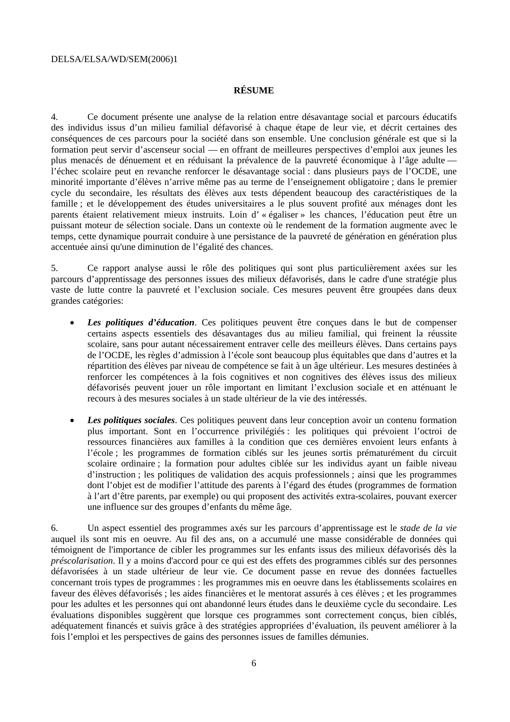#### **RÉSUME**

<span id="page-6-0"></span>4. Ce document présente une analyse de la relation entre désavantage social et parcours éducatifs des individus issus d'un milieu familial défavorisé à chaque étape de leur vie, et décrit certaines des conséquences de ces parcours pour la société dans son ensemble. Une conclusion générale est que si la formation peut servir d'ascenseur social –– en offrant de meilleures perspectives d'emploi aux jeunes les plus menacés de dénuement et en réduisant la prévalence de la pauvreté économique à l'âge adulte –– l'échec scolaire peut en revanche renforcer le désavantage social : dans plusieurs pays de l'OCDE, une minorité importante d'élèves n'arrive même pas au terme de l'enseignement obligatoire ; dans le premier cycle du secondaire, les résultats des élèves aux tests dépendent beaucoup des caractéristiques de la famille ; et le développement des études universitaires a le plus souvent profité aux ménages dont les parents étaient relativement mieux instruits. Loin d' « égaliser » les chances, l'éducation peut être un puissant moteur de sélection sociale. Dans un contexte où le rendement de la formation augmente avec le temps, cette dynamique pourrait conduire à une persistance de la pauvreté de génération en génération plus accentuée ainsi qu'une diminution de l'égalité des chances.

5. Ce rapport analyse aussi le rôle des politiques qui sont plus particulièrement axées sur les parcours d'apprentissage des personnes issues des milieux défavorisés, dans le cadre d'une stratégie plus vaste de lutte contre la pauvreté et l'exclusion sociale. Ces mesures peuvent être groupées dans deux grandes catégories:

- *Les politiques d'éducation*. Ces politiques peuvent être conçues dans le but de compenser certains aspects essentiels des désavantages dus au milieu familial, qui freinent la réussite scolaire, sans pour autant nécessairement entraver celle des meilleurs élèves. Dans certains pays de l'OCDE, les règles d'admission à l'école sont beaucoup plus équitables que dans d'autres et la répartition des élèves par niveau de compétence se fait à un âge ultérieur. Les mesures destinées à renforcer les compétences à la fois cognitives et non cognitives des élèves issus des milieux défavorisés peuvent jouer un rôle important en limitant l'exclusion sociale et en atténuant le recours à des mesures sociales à un stade ultérieur de la vie des intéressés.
- *Les politiques sociales*. Ces politiques peuvent dans leur conception avoir un contenu formation plus important. Sont en l'occurrence privilégiés : les politiques qui prévoient l'octroi de ressources financières aux familles à la condition que ces dernières envoient leurs enfants à l'école ; les programmes de formation ciblés sur les jeunes sortis prématurément du circuit scolaire ordinaire ; la formation pour adultes ciblée sur les individus ayant un faible niveau d'instruction ; les politiques de validation des acquis professionnels ; ainsi que les programmes dont l'objet est de modifier l'attitude des parents à l'égard des études (programmes de formation à l'art d'être parents, par exemple) ou qui proposent des activités extra-scolaires, pouvant exercer une influence sur des groupes d'enfants du même âge.

6. Un aspect essentiel des programmes axés sur les parcours d'apprentissage est le *stade de la vie* auquel ils sont mis en oeuvre. Au fil des ans, on a accumulé une masse considérable de données qui témoignent de l'importance de cibler les programmes sur les enfants issus des milieux défavorisés dès la *préscolarisation*. Il y a moins d'accord pour ce qui est des effets des programmes ciblés sur des personnes défavorisées à un stade ultérieur de leur vie. Ce document passe en revue des données factuelles concernant trois types de programmes : les programmes mis en oeuvre dans les établissements scolaires en faveur des élèves défavorisés ; les aides financières et le mentorat assurés à ces élèves ; et les programmes pour les adultes et les personnes qui ont abandonné leurs études dans le deuxième cycle du secondaire. Les évaluations disponibles suggèrent que lorsque ces programmes sont correctement conçus, bien ciblés, adéquatement financés et suivis grâce à des stratégies appropriées d'évaluation, ils peuvent améliorer à la fois l'emploi et les perspectives de gains des personnes issues de familles démunies.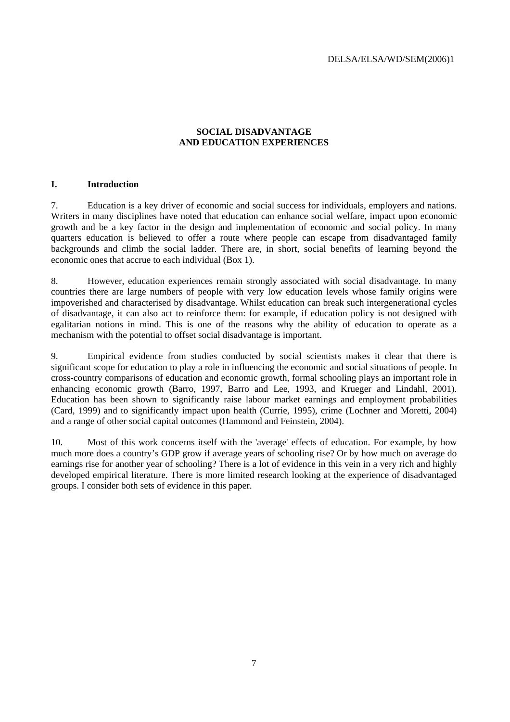#### **SOCIAL DISADVANTAGE AND EDUCATION EXPERIENCES**

#### <span id="page-7-0"></span>**I. Introduction**

7. Education is a key driver of economic and social success for individuals, employers and nations. Writers in many disciplines have noted that education can enhance social welfare, impact upon economic growth and be a key factor in the design and implementation of economic and social policy. In many quarters education is believed to offer a route where people can escape from disadvantaged family backgrounds and climb the social ladder. There are, in short, social benefits of learning beyond the economic ones that accrue to each individual (Box 1).

8. However, education experiences remain strongly associated with social disadvantage. In many countries there are large numbers of people with very low education levels whose family origins were impoverished and characterised by disadvantage. Whilst education can break such intergenerational cycles of disadvantage, it can also act to reinforce them: for example, if education policy is not designed with egalitarian notions in mind. This is one of the reasons why the ability of education to operate as a mechanism with the potential to offset social disadvantage is important.

9. Empirical evidence from studies conducted by social scientists makes it clear that there is significant scope for education to play a role in influencing the economic and social situations of people. In cross-country comparisons of education and economic growth, formal schooling plays an important role in enhancing economic growth (Barro, 1997, Barro and Lee, 1993, and Krueger and Lindahl, 2001). Education has been shown to significantly raise labour market earnings and employment probabilities (Card, 1999) and to significantly impact upon health (Currie, 1995), crime (Lochner and Moretti, 2004) and a range of other social capital outcomes (Hammond and Feinstein, 2004).

10. Most of this work concerns itself with the 'average' effects of education. For example, by how much more does a country's GDP grow if average years of schooling rise? Or by how much on average do earnings rise for another year of schooling? There is a lot of evidence in this vein in a very rich and highly developed empirical literature. There is more limited research looking at the experience of disadvantaged groups. I consider both sets of evidence in this paper.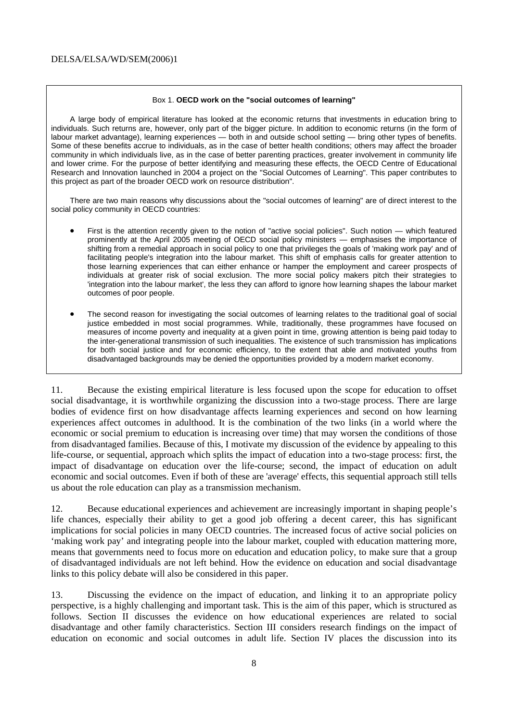#### Box 1. **OECD work on the "social outcomes of learning"**

A large body of empirical literature has looked at the economic returns that investments in education bring to individuals. Such returns are, however, only part of the bigger picture. In addition to economic returns (in the form of labour market advantage), learning experiences — both in and outside school setting — bring other types of benefits. Some of these benefits accrue to individuals, as in the case of better health conditions; others may affect the broader community in which individuals live, as in the case of better parenting practices, greater involvement in community life and lower crime. For the purpose of better identifying and measuring these effects, the OECD Centre of Educational Research and Innovation launched in 2004 a project on the "Social Outcomes of Learning". This paper contributes to this project as part of the broader OECD work on resource distribution".

There are two main reasons why discussions about the "social outcomes of learning" are of direct interest to the social policy community in OECD countries:

- First is the attention recently given to the notion of "active social policies". Such notion which featured prominently at the April 2005 meeting of OECD social policy ministers — emphasises the importance of shifting from a remedial approach in social policy to one that privileges the goals of 'making work pay' and of facilitating people's integration into the labour market. This shift of emphasis calls for greater attention to those learning experiences that can either enhance or hamper the employment and career prospects of individuals at greater risk of social exclusion. The more social policy makers pitch their strategies to 'integration into the labour market', the less they can afford to ignore how learning shapes the labour market outcomes of poor people.
- The second reason for investigating the social outcomes of learning relates to the traditional goal of social justice embedded in most social programmes. While, traditionally, these programmes have focused on measures of income poverty and inequality at a given point in time, growing attention is being paid today to the inter-generational transmission of such inequalities. The existence of such transmission has implications for both social justice and for economic efficiency, to the extent that able and motivated youths from disadvantaged backgrounds may be denied the opportunities provided by a modern market economy.

11. Because the existing empirical literature is less focused upon the scope for education to offset social disadvantage, it is worthwhile organizing the discussion into a two-stage process. There are large bodies of evidence first on how disadvantage affects learning experiences and second on how learning experiences affect outcomes in adulthood. It is the combination of the two links (in a world where the economic or social premium to education is increasing over time) that may worsen the conditions of those from disadvantaged families. Because of this, I motivate my discussion of the evidence by appealing to this life-course, or sequential, approach which splits the impact of education into a two-stage process: first, the impact of disadvantage on education over the life-course; second, the impact of education on adult economic and social outcomes. Even if both of these are 'average' effects, this sequential approach still tells us about the role education can play as a transmission mechanism.

12. Because educational experiences and achievement are increasingly important in shaping people's life chances, especially their ability to get a good job offering a decent career, this has significant implications for social policies in many OECD countries. The increased focus of active social policies on 'making work pay' and integrating people into the labour market, coupled with education mattering more, means that governments need to focus more on education and education policy, to make sure that a group of disadvantaged individuals are not left behind. How the evidence on education and social disadvantage links to this policy debate will also be considered in this paper.

13. Discussing the evidence on the impact of education, and linking it to an appropriate policy perspective, is a highly challenging and important task. This is the aim of this paper, which is structured as follows. Section II discusses the evidence on how educational experiences are related to social disadvantage and other family characteristics. Section III considers research findings on the impact of education on economic and social outcomes in adult life. Section IV places the discussion into its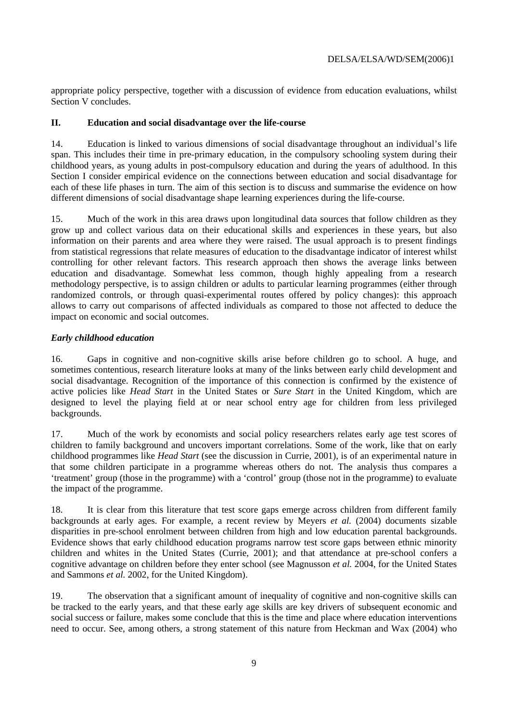<span id="page-9-0"></span>appropriate policy perspective, together with a discussion of evidence from education evaluations, whilst Section V concludes.

#### **II. Education and social disadvantage over the life-course**

14. Education is linked to various dimensions of social disadvantage throughout an individual's life span. This includes their time in pre-primary education, in the compulsory schooling system during their childhood years, as young adults in post-compulsory education and during the years of adulthood. In this Section I consider empirical evidence on the connections between education and social disadvantage for each of these life phases in turn. The aim of this section is to discuss and summarise the evidence on how different dimensions of social disadvantage shape learning experiences during the life-course.

15. Much of the work in this area draws upon longitudinal data sources that follow children as they grow up and collect various data on their educational skills and experiences in these years, but also information on their parents and area where they were raised. The usual approach is to present findings from statistical regressions that relate measures of education to the disadvantage indicator of interest whilst controlling for other relevant factors. This research approach then shows the average links between education and disadvantage. Somewhat less common, though highly appealing from a research methodology perspective, is to assign children or adults to particular learning programmes (either through randomized controls, or through quasi-experimental routes offered by policy changes): this approach allows to carry out comparisons of affected individuals as compared to those not affected to deduce the impact on economic and social outcomes.

#### *Early childhood education*

16. Gaps in cognitive and non-cognitive skills arise before children go to school. A huge, and sometimes contentious, research literature looks at many of the links between early child development and social disadvantage. Recognition of the importance of this connection is confirmed by the existence of active policies like *Head Start* in the United States or *Sure Start* in the United Kingdom, which are designed to level the playing field at or near school entry age for children from less privileged backgrounds.

17. Much of the work by economists and social policy researchers relates early age test scores of children to family background and uncovers important correlations. Some of the work, like that on early childhood programmes like *Head Start* (see the discussion in Currie, 2001), is of an experimental nature in that some children participate in a programme whereas others do not. The analysis thus compares a 'treatment' group (those in the programme) with a 'control' group (those not in the programme) to evaluate the impact of the programme.

18. It is clear from this literature that test score gaps emerge across children from different family backgrounds at early ages. For example, a recent review by Meyers *et al.* (2004) documents sizable disparities in pre-school enrolment between children from high and low education parental backgrounds. Evidence shows that early childhood education programs narrow test score gaps between ethnic minority children and whites in the United States (Currie, 2001); and that attendance at pre-school confers a cognitive advantage on children before they enter school (see Magnusson *et al.* 2004, for the United States and Sammons *et al.* 2002, for the United Kingdom).

19. The observation that a significant amount of inequality of cognitive and non-cognitive skills can be tracked to the early years, and that these early age skills are key drivers of subsequent economic and social success or failure, makes some conclude that this is the time and place where education interventions need to occur. See, among others, a strong statement of this nature from Heckman and Wax (2004) who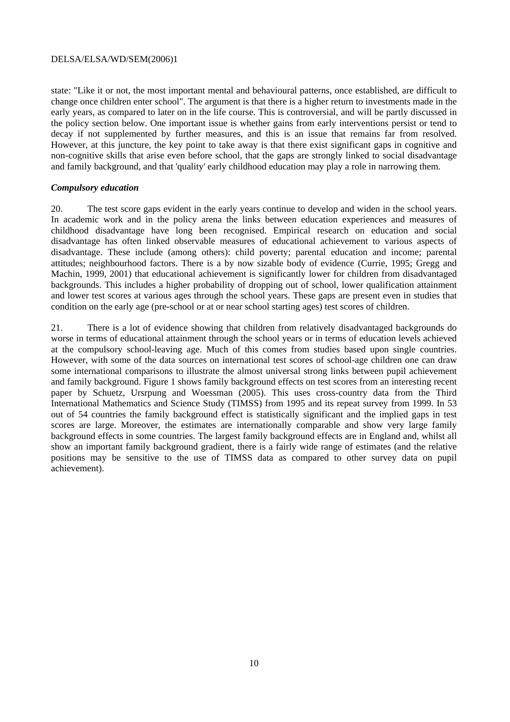<span id="page-10-0"></span>state: "Like it or not, the most important mental and behavioural patterns, once established, are difficult to change once children enter school". The argument is that there is a higher return to investments made in the early years, as compared to later on in the life course. This is controversial, and will be partly discussed in the policy section below. One important issue is whether gains from early interventions persist or tend to decay if not supplemented by further measures, and this is an issue that remains far from resolved. However, at this juncture, the key point to take away is that there exist significant gaps in cognitive and non-cognitive skills that arise even before school, that the gaps are strongly linked to social disadvantage and family background, and that 'quality' early childhood education may play a role in narrowing them.

#### *Compulsory education*

20. The test score gaps evident in the early years continue to develop and widen in the school years. In academic work and in the policy arena the links between education experiences and measures of childhood disadvantage have long been recognised. Empirical research on education and social disadvantage has often linked observable measures of educational achievement to various aspects of disadvantage. These include (among others): child poverty; parental education and income; parental attitudes; neighbourhood factors. There is a by now sizable body of evidence (Currie, 1995; Gregg and Machin, 1999, 2001) that educational achievement is significantly lower for children from disadvantaged backgrounds. This includes a higher probability of dropping out of school, lower qualification attainment and lower test scores at various ages through the school years. These gaps are present even in studies that condition on the early age (pre-school or at or near school starting ages) test scores of children.

21. There is a lot of evidence showing that children from relatively disadvantaged backgrounds do worse in terms of educational attainment through the school years or in terms of education levels achieved at the compulsory school-leaving age. Much of this comes from studies based upon single countries. However, with some of the data sources on international test scores of school-age children one can draw some international comparisons to illustrate the almost universal strong links between pupil achievement and family background. Figure 1 shows family background effects on test scores from an interesting recent paper by Schuetz, Ursrpung and Woessman (2005). This uses cross-country data from the Third International Mathematics and Science Study (TIMSS) from 1995 and its repeat survey from 1999. In 53 out of 54 countries the family background effect is statistically significant and the implied gaps in test scores are large. Moreover, the estimates are internationally comparable and show very large family background effects in some countries. The largest family background effects are in England and, whilst all show an important family background gradient, there is a fairly wide range of estimates (and the relative positions may be sensitive to the use of TIMSS data as compared to other survey data on pupil achievement).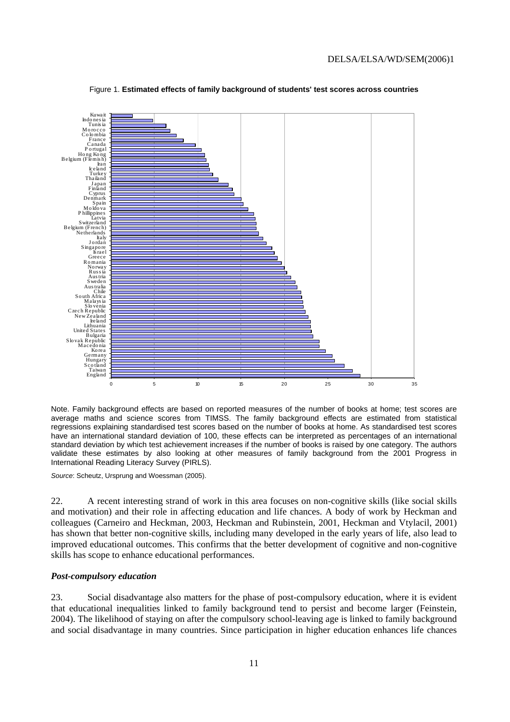<span id="page-11-0"></span>

Figure 1. **Estimated effects of family background of students' test scores across countries**

Note. Family background effects are based on reported measures of the number of books at home; test scores are average maths and science scores from TIMSS. The family background effects are estimated from statistical regressions explaining standardised test scores based on the number of books at home. As standardised test scores have an international standard deviation of 100, these effects can be interpreted as percentages of an international standard deviation by which test achievement increases if the number of books is raised by one category. The authors validate these estimates by also looking at other measures of family background from the 2001 Progress in International Reading Literacy Survey (PIRLS).

*Source*: Scheutz, Ursprung and Woessman (2005).

22. A recent interesting strand of work in this area focuses on non-cognitive skills (like social skills and motivation) and their role in affecting education and life chances. A body of work by Heckman and colleagues (Carneiro and Heckman, 2003, Heckman and Rubinstein, 2001, Heckman and Vtylacil, 2001) has shown that better non-cognitive skills, including many developed in the early years of life, also lead to improved educational outcomes. This confirms that the better development of cognitive and non-cognitive skills has scope to enhance educational performances.

#### *Post-compulsory education*

23. Social disadvantage also matters for the phase of post-compulsory education, where it is evident that educational inequalities linked to family background tend to persist and become larger (Feinstein, 2004). The likelihood of staying on after the compulsory school-leaving age is linked to family background and social disadvantage in many countries. Since participation in higher education enhances life chances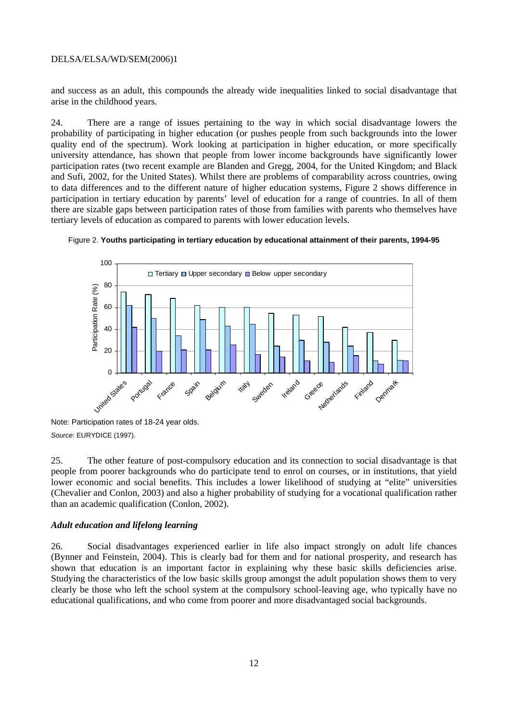<span id="page-12-0"></span>and success as an adult, this compounds the already wide inequalities linked to social disadvantage that arise in the childhood years.

24. There are a range of issues pertaining to the way in which social disadvantage lowers the probability of participating in higher education (or pushes people from such backgrounds into the lower quality end of the spectrum). Work looking at participation in higher education, or more specifically university attendance, has shown that people from lower income backgrounds have significantly lower participation rates (two recent example are Blanden and Gregg, 2004, for the United Kingdom; and Black and Sufi, 2002, for the United States). Whilst there are problems of comparability across countries, owing to data differences and to the different nature of higher education systems, Figure 2 shows difference in participation in tertiary education by parents' level of education for a range of countries. In all of them there are sizable gaps between participation rates of those from families with parents who themselves have tertiary levels of education as compared to parents with lower education levels.





Note: Participation rates of 18-24 year olds. *Source*: EURYDICE (1997).

25. The other feature of post-compulsory education and its connection to social disadvantage is that people from poorer backgrounds who do participate tend to enrol on courses, or in institutions, that yield lower economic and social benefits. This includes a lower likelihood of studying at "elite" universities (Chevalier and Conlon, 2003) and also a higher probability of studying for a vocational qualification rather than an academic qualification (Conlon, 2002).

#### *Adult education and lifelong learning*

26. Social disadvantages experienced earlier in life also impact strongly on adult life chances (Bynner and Feinstein, 2004). This is clearly bad for them and for national prosperity, and research has shown that education is an important factor in explaining why these basic skills deficiencies arise. Studying the characteristics of the low basic skills group amongst the adult population shows them to very clearly be those who left the school system at the compulsory school-leaving age, who typically have no educational qualifications, and who come from poorer and more disadvantaged social backgrounds.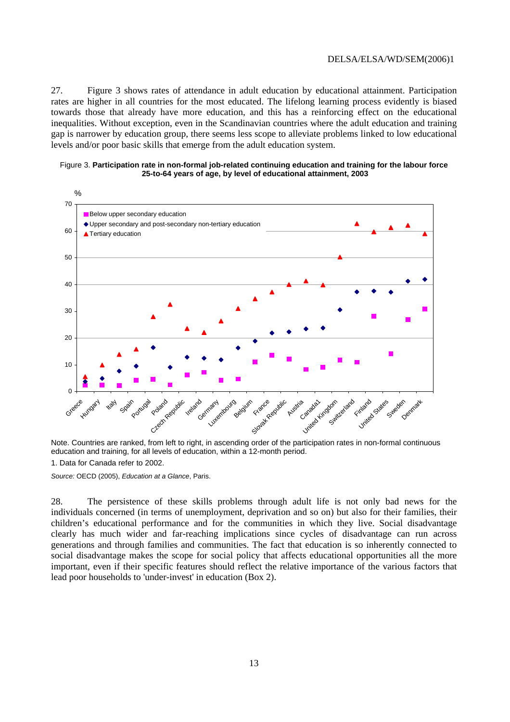<span id="page-13-0"></span>27. Figure 3 shows rates of attendance in adult education by educational attainment. Participation rates are higher in all countries for the most educated. The lifelong learning process evidently is biased towards those that already have more education, and this has a reinforcing effect on the educational inequalities. Without exception, even in the Scandinavian countries where the adult education and training gap is narrower by education group, there seems less scope to alleviate problems linked to low educational levels and/or poor basic skills that emerge from the adult education system.

#### Figure 3. **Participation rate in non-formal job-related continuing education and training for the labour force 25-to-64 years of age, by level of educational attainment, 2003**



Note. Countries are ranked, from left to right, in ascending order of the participation rates in non-formal continuous education and training, for all levels of education, within a 12-month period.

1. Data for Canada refer to 2002.

*Source:* OECD (2005), *Education at a Glance*, Paris.

28. The persistence of these skills problems through adult life is not only bad news for the individuals concerned (in terms of unemployment, deprivation and so on) but also for their families, their children's educational performance and for the communities in which they live. Social disadvantage clearly has much wider and far-reaching implications since cycles of disadvantage can run across generations and through families and communities. The fact that education is so inherently connected to social disadvantage makes the scope for social policy that affects educational opportunities all the more important, even if their specific features should reflect the relative importance of the various factors that lead poor households to 'under-invest' in education (Box 2).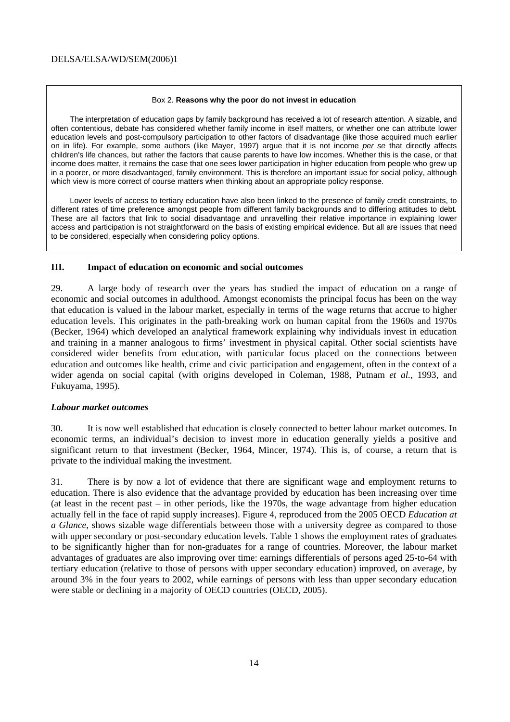#### Box 2. **Reasons why the poor do not invest in education**

<span id="page-14-0"></span>The interpretation of education gaps by family background has received a lot of research attention. A sizable, and often contentious, debate has considered whether family income in itself matters, or whether one can attribute lower education levels and post-compulsory participation to other factors of disadvantage (like those acquired much earlier on in life). For example, some authors (like Mayer, 1997) argue that it is not income *per se* that directly affects children's life chances, but rather the factors that cause parents to have low incomes. Whether this is the case, or that income does matter, it remains the case that one sees lower participation in higher education from people who grew up in a poorer, or more disadvantaged, family environment. This is therefore an important issue for social policy, although which view is more correct of course matters when thinking about an appropriate policy response.

Lower levels of access to tertiary education have also been linked to the presence of family credit constraints, to different rates of time preference amongst people from different family backgrounds and to differing attitudes to debt. These are all factors that link to social disadvantage and unravelling their relative importance in explaining lower access and participation is not straightforward on the basis of existing empirical evidence. But all are issues that need to be considered, especially when considering policy options.

#### **III. Impact of education on economic and social outcomes**

29. A large body of research over the years has studied the impact of education on a range of economic and social outcomes in adulthood. Amongst economists the principal focus has been on the way that education is valued in the labour market, especially in terms of the wage returns that accrue to higher education levels. This originates in the path-breaking work on human capital from the 1960s and 1970s (Becker, 1964) which developed an analytical framework explaining why individuals invest in education and training in a manner analogous to firms' investment in physical capital. Other social scientists have considered wider benefits from education, with particular focus placed on the connections between education and outcomes like health, crime and civic participation and engagement, often in the context of a wider agenda on social capital (with origins developed in Coleman, 1988, Putnam *et al.,* 1993, and Fukuyama, 1995).

#### *Labour market outcomes*

30. It is now well established that education is closely connected to better labour market outcomes. In economic terms, an individual's decision to invest more in education generally yields a positive and significant return to that investment (Becker, 1964, Mincer, 1974). This is, of course, a return that is private to the individual making the investment.

31. There is by now a lot of evidence that there are significant wage and employment returns to education. There is also evidence that the advantage provided by education has been increasing over time (at least in the recent past – in other periods, like the 1970s, the wage advantage from higher education actually fell in the face of rapid supply increases). Figure 4, reproduced from the 2005 OECD *Education at a Glance*, shows sizable wage differentials between those with a university degree as compared to those with upper secondary or post-secondary education levels. Table 1 shows the employment rates of graduates to be significantly higher than for non-graduates for a range of countries. Moreover, the labour market advantages of graduates are also improving over time: earnings differentials of persons aged 25-to-64 with tertiary education (relative to those of persons with upper secondary education) improved, on average, by around 3% in the four years to 2002, while earnings of persons with less than upper secondary education were stable or declining in a majority of OECD countries (OECD, 2005).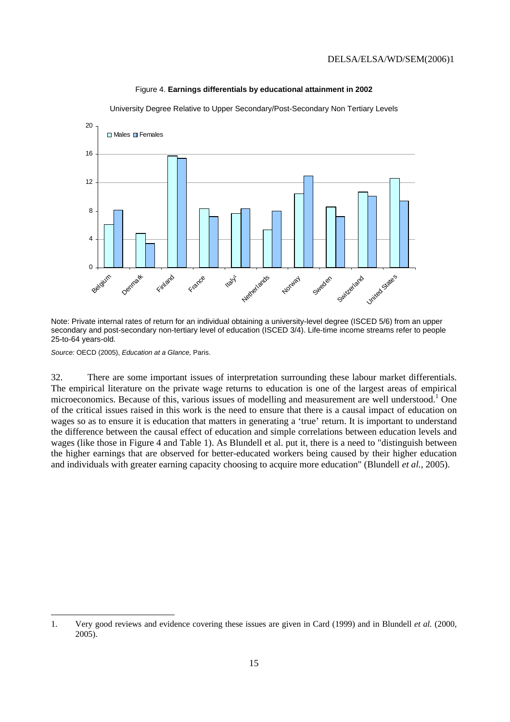<span id="page-15-0"></span>

Figure 4. **Earnings differentials by educational attainment in 2002** 

University Degree Relative to Upper Secondary/Post-Secondary Non Tertiary Levels

Note: Private internal rates of return for an individual obtaining a university-level degree (ISCED 5/6) from an upper secondary and post-secondary non-tertiary level of education (ISCED 3/4). Life-time income streams refer to people 25-to-64 years-old.

*Source:* OECD (2005), *Education at a Glance,* Paris.

32. There are some important issues of interpretation surrounding these labour market differentials. The empirical literature on the private wage returns to education is one of the largest areas of empirical microeconomics. Because of this, various issues of modelling and measurement are well understood.<sup>1</sup> One of the critical issues raised in this work is the need to ensure that there is a causal impact of education on wages so as to ensure it is education that matters in generating a 'true' return. It is important to understand the difference between the causal effect of education and simple correlations between education levels and wages (like those in Figure 4 and Table 1). As Blundell et al. put it, there is a need to "distinguish between the higher earnings that are observed for better-educated workers being caused by their higher education and individuals with greater earning capacity choosing to acquire more education" (Blundell *et al.*, 2005).

<span id="page-15-1"></span><sup>1.</sup> Very good reviews and evidence covering these issues are given in Card (1999) and in Blundell *et al.* (2000, 2005).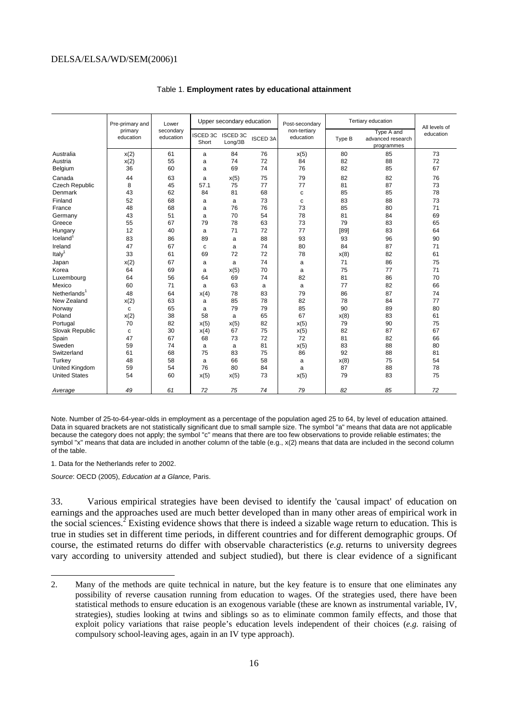<span id="page-16-0"></span>

|                          | Pre-primary and<br>Lower |                        | Upper secondary education |                            |                 | Post-secondary            | Tertiary education |                                               | All levels of |  |
|--------------------------|--------------------------|------------------------|---------------------------|----------------------------|-----------------|---------------------------|--------------------|-----------------------------------------------|---------------|--|
|                          | primary<br>education     | secondary<br>education | <b>ISCED 3C</b><br>Short  | <b>ISCED 3C</b><br>Long/3B | <b>ISCED 3A</b> | non-tertiary<br>education | Type B             | Type A and<br>advanced research<br>programmes | education     |  |
| Australia                | x(2)                     | 61                     | a                         | 84                         | 76              | x(5)                      | 80                 | 85                                            | 73            |  |
| Austria                  | x(2)                     | 55                     | a                         | 74                         | 72              | 84                        | 82                 | 88                                            | 72            |  |
| Belgium                  | 36                       | 60                     | a                         | 69                         | 74              | 76                        | 82                 | 85                                            | 67            |  |
| Canada                   | 44                       | 63                     | a                         | x(5)                       | 75              | 79                        | 82                 | 82                                            | 76            |  |
| Czech Republic           | 8                        | 45                     | 57.1                      | 75                         | 77              | 77                        | 81                 | 87                                            | 73            |  |
| Denmark                  | 43                       | 62                     | 84                        | 81                         | 68              | $\mathbf c$               | 85                 | 85                                            | 78            |  |
| Finland                  | 52                       | 68                     | a                         | a                          | 73              | C                         | 83                 | 88                                            | 73            |  |
| France                   | 48                       | 68                     | a                         | 76                         | 76              | 73                        | 85                 | 80                                            | 71            |  |
| Germany                  | 43                       | 51                     | a                         | 70                         | 54              | 78                        | 81                 | 84                                            | 69            |  |
| Greece                   | 55                       | 67                     | 79                        | 78                         | 63              | 73                        | 79                 | 83                                            | 65            |  |
| Hungary                  | 12                       | 40                     | a                         | 71                         | 72              | 77                        | [89]               | 83                                            | 64            |  |
| Iceland <sup>1</sup>     | 83                       | 86                     | 89                        | a                          | 88              | 93                        | 93                 | 96                                            | 90            |  |
| Ireland                  | 47                       | 67                     | c                         | a                          | 74              | 80                        | 84                 | 87                                            | 71            |  |
| Italy <sup>1</sup>       | 33                       | 61                     | 69                        | 72                         | 72              | 78                        | x(8)               | 82                                            | 61            |  |
| Japan                    | x(2)                     | 67                     | a                         | a                          | 74              | a                         | 71                 | 86                                            | 75            |  |
| Korea                    | 64                       | 69                     | a                         | x(5)                       | 70              | a                         | 75                 | 77                                            | 71            |  |
| Luxembourg               | 64                       | 56                     | 64                        | 69                         | 74              | 82                        | 81                 | 86                                            | 70            |  |
| Mexico                   | 60                       | 71                     | a                         | 63                         | a               | a                         | 77                 | 82                                            | 66            |  |
| Netherlands <sup>1</sup> | 48                       | 64                     | x(4)                      | 78                         | 83              | 79                        | 86                 | 87                                            | 74            |  |
| New Zealand              | x(2)                     | 63                     | a                         | 85                         | 78              | 82                        | 78                 | 84                                            | 77            |  |
| Norway                   | $\mathbf c$              | 65                     | a                         | 79                         | 79              | 85                        | 90                 | 89                                            | 80            |  |
| Poland                   | x(2)                     | 38                     | 58                        | a                          | 65              | 67                        | x(8)               | 83                                            | 61            |  |
| Portugal                 | 70                       | 82                     | x(5)                      | x(5)                       | 82              | x(5)                      | 79                 | 90                                            | 75            |  |
| Slovak Republic          | $\mathbf c$              | 30                     | x(4)                      | 67                         | 75              | x(5)                      | 82                 | 87                                            | 67            |  |
| Spain                    | 47                       | 67                     | 68                        | 73                         | 72              | 72                        | 81                 | 82                                            | 66            |  |
| Sweden                   | 59                       | 74                     | a                         | a                          | 81              | x(5)                      | 83                 | 88                                            | 80            |  |
| Switzerland              | 61                       | 68                     | 75                        | 83                         | 75              | 86                        | 92                 | 88                                            | 81            |  |
| Turkey                   | 48                       | 58                     | a                         | 66                         | 58              | a                         | x(8)               | 75                                            | 54            |  |
| <b>United Kingdom</b>    | 59                       | 54                     | 76                        | 80                         | 84              | a                         | 87                 | 88                                            | 78            |  |
| <b>United States</b>     | 54                       | 60                     | x(5)                      | x(5)                       | 73              | x(5)                      | 79                 | 83                                            | 75            |  |
| Average                  | 49                       | 61                     | 72                        | 75                         | 74              | 79                        | 82                 | 85                                            | 72            |  |

#### Table 1. **Employment rates by educational attainment**

Note. Number of 25-to-64-year-olds in employment as a percentage of the population aged 25 to 64, by level of education attained. Data in squared brackets are not statistically significant due to small sample size. The symbol "a" means that data are not applicable because the category does not apply; the symbol "c" means that there are too few observations to provide reliable estimates; the symbol "x" means that data are included in another column of the table (e.g., x(2) means that data are included in the second column of the table.

1. Data for the Netherlands refer to 2002.

*Source*: OECD (2005), *Education at a Glance,* Paris.

33. Various empirical strategies have been devised to identify the 'causal impact' of education on earnings and the approaches used are much better developed than in many other areas of empirical work in the social sciences.<sup>[2](#page-16-1)</sup> Existing evidence shows that there is indeed a sizable wage return to education. This is true in studies set in different time periods, in different countries and for different demographic groups. Of course, the estimated returns do differ with observable characteristics (*e.g.* returns to university degrees vary according to university attended and subject studied), but there is clear evidence of a significant

<span id="page-16-1"></span><sup>2.</sup> Many of the methods are quite technical in nature, but the key feature is to ensure that one eliminates any possibility of reverse causation running from education to wages. Of the strategies used, there have been statistical methods to ensure education is an exogenous variable (these are known as instrumental variable, IV, strategies), studies looking at twins and siblings so as to eliminate common family effects, and those that exploit policy variations that raise people's education levels independent of their choices (*e.g.* raising of compulsory school-leaving ages, again in an IV type approach).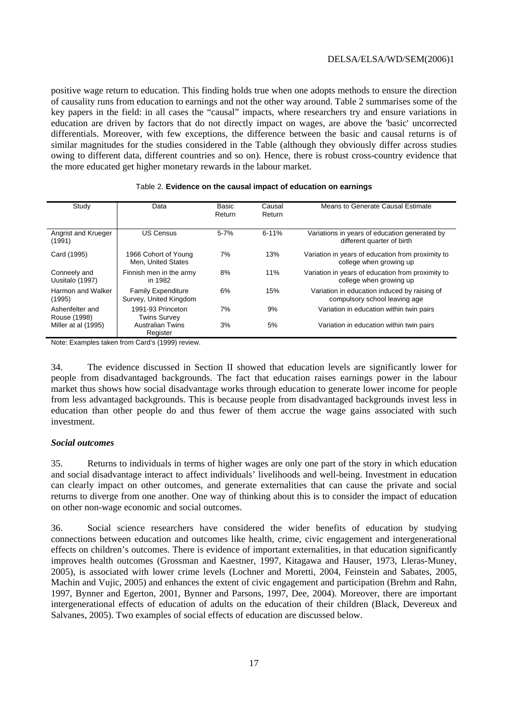<span id="page-17-0"></span>positive wage return to education. This finding holds true when one adopts methods to ensure the direction of causality runs from education to earnings and not the other way around. Table 2 summarises some of the key papers in the field: in all cases the "causal" impacts, where researchers try and ensure variations in education are driven by factors that do not directly impact on wages, are above the 'basic' uncorrected differentials. Moreover, with few exceptions, the difference between the basic and causal returns is of similar magnitudes for the studies considered in the Table (although they obviously differ across studies owing to different data, different countries and so on). Hence, there is robust cross-country evidence that the more educated get higher monetary rewards in the labour market.

| Study                           | Data                                                | Basic<br>Return | Causal<br>Return | Means to Generate Causal Estimate                                             |
|---------------------------------|-----------------------------------------------------|-----------------|------------------|-------------------------------------------------------------------------------|
| Angrist and Krueger<br>(1991)   | <b>US Census</b>                                    | $5 - 7%$        | $6 - 11%$        | Variations in years of education generated by<br>different quarter of birth   |
| Card (1995)                     | 1966 Cohort of Young<br>Men. United States          | 7%              | 13%              | Variation in years of education from proximity to<br>college when growing up  |
| Conneely and<br>Uusitalo (1997) | Finnish men in the army<br>in 1982                  | 8%              | 11%              | Variation in years of education from proximity to<br>college when growing up  |
| Harmon and Walker<br>(1995)     | <b>Family Expenditure</b><br>Survey, United Kingdom | 6%              | 15%              | Variation in education induced by raising of<br>compulsory school leaving age |
| Ashenfelter and<br>Rouse (1998) | 1991-93 Princeton<br><b>Twins Survey</b>            | 7%              | 9%               | Variation in education within twin pairs                                      |
| Miller at al (1995)             | <b>Australian Twins</b><br>Register                 | 3%              | 5%               | Variation in education within twin pairs                                      |

#### Table 2. **Evidence on the causal impact of education on earnings**

Note: Examples taken from Card's (1999) review.

34. The evidence discussed in Section II showed that education levels are significantly lower for people from disadvantaged backgrounds. The fact that education raises earnings power in the labour market thus shows how social disadvantage works through education to generate lower income for people from less advantaged backgrounds. This is because people from disadvantaged backgrounds invest less in education than other people do and thus fewer of them accrue the wage gains associated with such investment.

#### *Social outcomes*

35. Returns to individuals in terms of higher wages are only one part of the story in which education and social disadvantage interact to affect individuals' livelihoods and well-being. Investment in education can clearly impact on other outcomes, and generate externalities that can cause the private and social returns to diverge from one another. One way of thinking about this is to consider the impact of education on other non-wage economic and social outcomes.

36. Social science researchers have considered the wider benefits of education by studying connections between education and outcomes like health, crime, civic engagement and intergenerational effects on children's outcomes. There is evidence of important externalities, in that education significantly improves health outcomes (Grossman and Kaestner, 1997, Kitagawa and Hauser, 1973, Lleras-Muney, 2005), is associated with lower crime levels (Lochner and Moretti, 2004, Feinstein and Sabates, 2005, Machin and Vujic, 2005) and enhances the extent of civic engagement and participation (Brehm and Rahn, 1997, Bynner and Egerton, 2001, Bynner and Parsons, 1997, Dee, 2004). Moreover, there are important intergenerational effects of education of adults on the education of their children (Black, Devereux and Salvanes, 2005). Two examples of social effects of education are discussed below.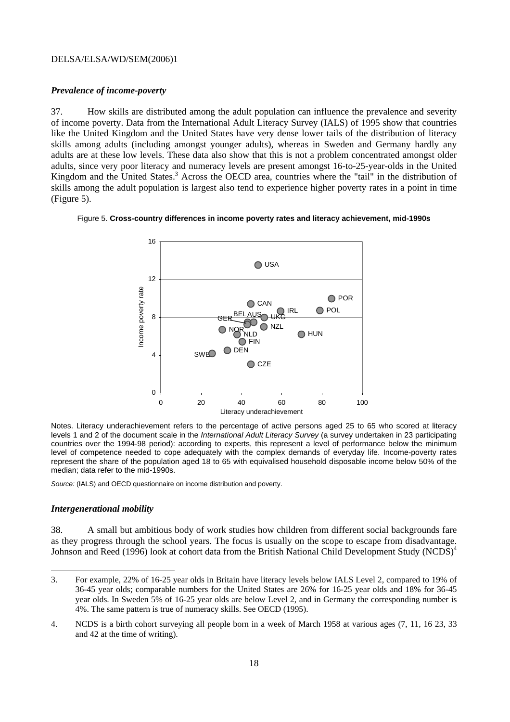#### <span id="page-18-0"></span>*Prevalence of income-poverty*

37. How skills are distributed among the adult population can influence the prevalence and severity of income poverty. Data from the International Adult Literacy Survey (IALS) of 1995 show that countries like the United Kingdom and the United States have very dense lower tails of the distribution of literacy skills among adults (including amongst younger adults), whereas in Sweden and Germany hardly any adults are at these low levels. These data also show that this is not a problem concentrated amongst older adults, since very poor literacy and numeracy levels are present amongst 16-to-25-year-olds in the United Kingdom and the United States.<sup>[3](#page-18-1)</sup> Across the OECD area, countries where the "tail" in the distribution of skills among the adult population is largest also tend to experience higher poverty rates in a point in time (Figure 5).

#### Figure 5. **Cross-country differences in income poverty rates and literacy achievement, mid-1990s**



Notes. Literacy underachievement refers to the percentage of active persons aged 25 to 65 who scored at literacy levels 1 and 2 of the document scale in the *International Adult Literacy Survey* (a survey undertaken in 23 participating countries over the 1994-98 period): according to experts, this represent a level of performance below the minimum level of competence needed to cope adequately with the complex demands of everyday life. Income-poverty rates represent the share of the population aged 18 to 65 with equivalised household disposable income below 50% of the median; data refer to the mid-1990s.

*Source:* (IALS) and OECD questionnaire on income distribution and poverty.

#### *Intergenerational mobility*

38. A small but ambitious body of work studies how children from different social backgrounds fare as they progress through the school years. The focus is usually on the scope to escape from disadvantage. Johnson and Reed (1996) look at cohort data from the British National Child Development Study (NCDS)<sup>4</sup>

<span id="page-18-1"></span><sup>3.</sup> For example, 22% of 16-25 year olds in Britain have literacy levels below IALS Level 2, compared to 19% of 36-45 year olds; comparable numbers for the United States are 26% for 16-25 year olds and 18% for 36-45 year olds. In Sweden 5% of 16-25 year olds are below Level 2, and in Germany the corresponding number is 4%. The same pattern is true of numeracy skills. See OECD (1995).

<span id="page-18-2"></span><sup>4.</sup> NCDS is a birth cohort surveying all people born in a week of March 1958 at various ages (7, 11, 16 23, 33 and 42 at the time of writing).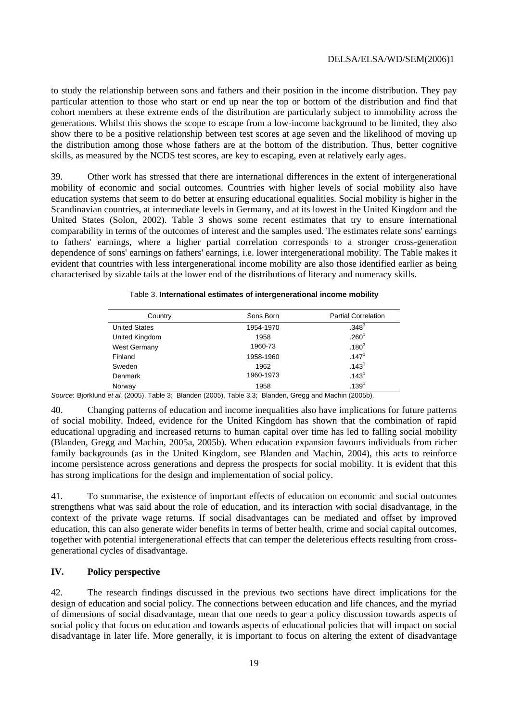<span id="page-19-0"></span>to study the relationship between sons and fathers and their position in the income distribution. They pay particular attention to those who start or end up near the top or bottom of the distribution and find that cohort members at these extreme ends of the distribution are particularly subject to immobility across the generations. Whilst this shows the scope to escape from a low-income background to be limited, they also show there to be a positive relationship between test scores at age seven and the likelihood of moving up the distribution among those whose fathers are at the bottom of the distribution. Thus, better cognitive skills, as measured by the NCDS test scores, are key to escaping, even at relatively early ages.

39. Other work has stressed that there are international differences in the extent of intergenerational mobility of economic and social outcomes. Countries with higher levels of social mobility also have education systems that seem to do better at ensuring educational equalities. Social mobility is higher in the Scandinavian countries, at intermediate levels in Germany, and at its lowest in the United Kingdom and the United States (Solon, 2002). Table 3 shows some recent estimates that try to ensure international comparability in terms of the outcomes of interest and the samples used. The estimates relate sons' earnings to fathers' earnings, where a higher partial correlation corresponds to a stronger cross-generation dependence of sons' earnings on fathers' earnings, i.e. lower intergenerational mobility. The Table makes it evident that countries with less intergenerational income mobility are also those identified earlier as being characterised by sizable tails at the lower end of the distributions of literacy and numeracy skills.

| Country              | Sons Born | <b>Partial Correlation</b> |
|----------------------|-----------|----------------------------|
| <b>United States</b> | 1954-1970 | $.348^{3}$                 |
| United Kingdom       | 1958      | .260 <sup>1</sup>          |
| <b>West Germany</b>  | 1960-73   | $.180^{3}$                 |
| Finland              | 1958-1960 | .147 <sup>1</sup>          |
| Sweden               | 1962      | .143 <sup>1</sup>          |
| Denmark              | 1960-1973 | .143 <sup>1</sup>          |
| Norway               | 1958      | .139 <sup>1</sup>          |

Table 3. **International estimates of intergenerational income mobility**

*Source*: . Bjorklund *et al.* (2005), Table 3; Blanden (2005), Table 3.3; Blanden, Gregg and Machin (2005b).

40. Changing patterns of education and income inequalities also have implications for future patterns of social mobility. Indeed, evidence for the United Kingdom has shown that the combination of rapid educational upgrading and increased returns to human capital over time has led to falling social mobility (Blanden, Gregg and Machin, 2005a, 2005b). When education expansion favours individuals from richer family backgrounds (as in the United Kingdom, see Blanden and Machin, 2004), this acts to reinforce income persistence across generations and depress the prospects for social mobility. It is evident that this has strong implications for the design and implementation of social policy.

41. To summarise, the existence of important effects of education on economic and social outcomes strengthens what was said about the role of education, and its interaction with social disadvantage, in the context of the private wage returns. If social disadvantages can be mediated and offset by improved education, this can also generate wider benefits in terms of better health, crime and social capital outcomes, together with potential intergenerational effects that can temper the deleterious effects resulting from crossgenerational cycles of disadvantage.

#### **IV. Policy perspective**

42. The research findings discussed in the previous two sections have direct implications for the design of education and social policy. The connections between education and life chances, and the myriad of dimensions of social disadvantage, mean that one needs to gear a policy discussion towards aspects of social policy that focus on education and towards aspects of educational policies that will impact on social disadvantage in later life. More generally, it is important to focus on altering the extent of disadvantage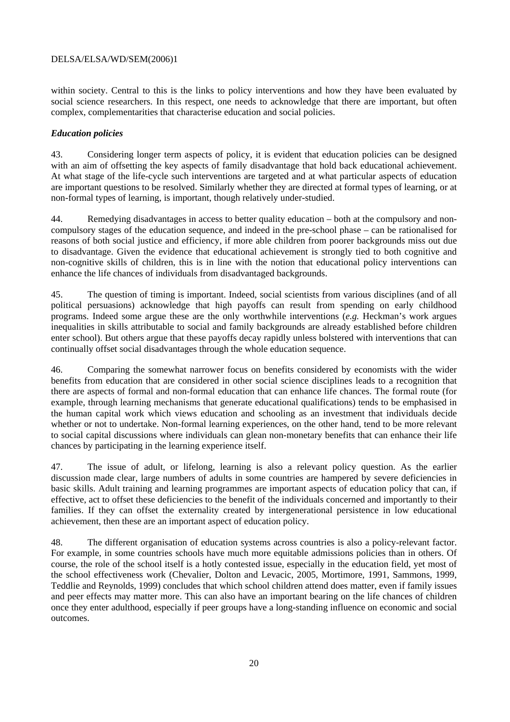<span id="page-20-0"></span>within society. Central to this is the links to policy interventions and how they have been evaluated by social science researchers. In this respect, one needs to acknowledge that there are important, but often complex, complementarities that characterise education and social policies.

#### *Education policies*

43. Considering longer term aspects of policy, it is evident that education policies can be designed with an aim of offsetting the key aspects of family disadvantage that hold back educational achievement. At what stage of the life-cycle such interventions are targeted and at what particular aspects of education are important questions to be resolved. Similarly whether they are directed at formal types of learning, or at non-formal types of learning, is important, though relatively under-studied.

44. Remedying disadvantages in access to better quality education – both at the compulsory and noncompulsory stages of the education sequence, and indeed in the pre-school phase – can be rationalised for reasons of both social justice and efficiency, if more able children from poorer backgrounds miss out due to disadvantage. Given the evidence that educational achievement is strongly tied to both cognitive and non-cognitive skills of children, this is in line with the notion that educational policy interventions can enhance the life chances of individuals from disadvantaged backgrounds.

45. The question of timing is important. Indeed, social scientists from various disciplines (and of all political persuasions) acknowledge that high payoffs can result from spending on early childhood programs. Indeed some argue these are the only worthwhile interventions (*e.g.* Heckman's work argues inequalities in skills attributable to social and family backgrounds are already established before children enter school). But others argue that these payoffs decay rapidly unless bolstered with interventions that can continually offset social disadvantages through the whole education sequence.

46. Comparing the somewhat narrower focus on benefits considered by economists with the wider benefits from education that are considered in other social science disciplines leads to a recognition that there are aspects of formal and non-formal education that can enhance life chances. The formal route (for example, through learning mechanisms that generate educational qualifications) tends to be emphasised in the human capital work which views education and schooling as an investment that individuals decide whether or not to undertake. Non-formal learning experiences, on the other hand, tend to be more relevant to social capital discussions where individuals can glean non-monetary benefits that can enhance their life chances by participating in the learning experience itself.

47. The issue of adult, or lifelong, learning is also a relevant policy question. As the earlier discussion made clear, large numbers of adults in some countries are hampered by severe deficiencies in basic skills. Adult training and learning programmes are important aspects of education policy that can, if effective, act to offset these deficiencies to the benefit of the individuals concerned and importantly to their families. If they can offset the externality created by intergenerational persistence in low educational achievement, then these are an important aspect of education policy.

48. The different organisation of education systems across countries is also a policy-relevant factor. For example, in some countries schools have much more equitable admissions policies than in others. Of course, the role of the school itself is a hotly contested issue, especially in the education field, yet most of the school effectiveness work (Chevalier, Dolton and Levacic, 2005, Mortimore, 1991, Sammons, 1999, Teddlie and Reynolds, 1999) concludes that which school children attend does matter, even if family issues and peer effects may matter more. This can also have an important bearing on the life chances of children once they enter adulthood, especially if peer groups have a long-standing influence on economic and social outcomes.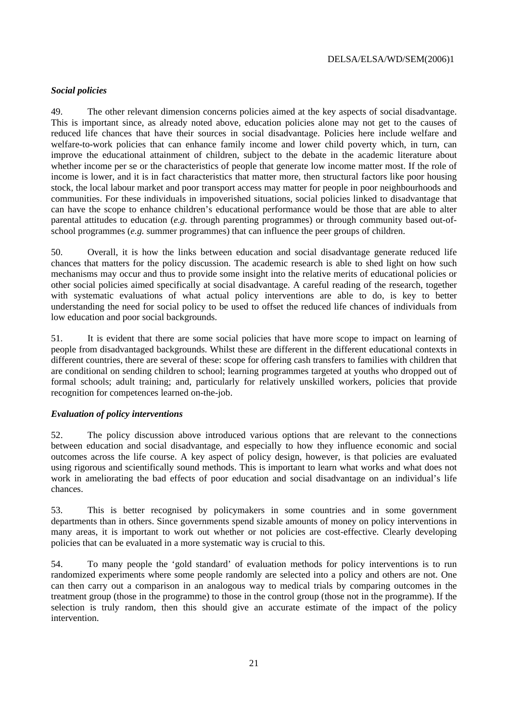#### <span id="page-21-0"></span>*Social policies*

49. The other relevant dimension concerns policies aimed at the key aspects of social disadvantage. This is important since, as already noted above, education policies alone may not get to the causes of reduced life chances that have their sources in social disadvantage. Policies here include welfare and welfare-to-work policies that can enhance family income and lower child poverty which, in turn, can improve the educational attainment of children, subject to the debate in the academic literature about whether income per se or the characteristics of people that generate low income matter most. If the role of income is lower, and it is in fact characteristics that matter more, then structural factors like poor housing stock, the local labour market and poor transport access may matter for people in poor neighbourhoods and communities. For these individuals in impoverished situations, social policies linked to disadvantage that can have the scope to enhance children's educational performance would be those that are able to alter parental attitudes to education (*e.g.* through parenting programmes) or through community based out-ofschool programmes (*e.g.* summer programmes) that can influence the peer groups of children.

50. Overall, it is how the links between education and social disadvantage generate reduced life chances that matters for the policy discussion. The academic research is able to shed light on how such mechanisms may occur and thus to provide some insight into the relative merits of educational policies or other social policies aimed specifically at social disadvantage. A careful reading of the research, together with systematic evaluations of what actual policy interventions are able to do, is key to better understanding the need for social policy to be used to offset the reduced life chances of individuals from low education and poor social backgrounds.

51. It is evident that there are some social policies that have more scope to impact on learning of people from disadvantaged backgrounds. Whilst these are different in the different educational contexts in different countries, there are several of these: scope for offering cash transfers to families with children that are conditional on sending children to school; learning programmes targeted at youths who dropped out of formal schools; adult training; and, particularly for relatively unskilled workers, policies that provide recognition for competences learned on-the-job.

#### *Evaluation of policy interventions*

52. The policy discussion above introduced various options that are relevant to the connections between education and social disadvantage, and especially to how they influence economic and social outcomes across the life course. A key aspect of policy design, however, is that policies are evaluated using rigorous and scientifically sound methods. This is important to learn what works and what does not work in ameliorating the bad effects of poor education and social disadvantage on an individual's life chances.

53. This is better recognised by policymakers in some countries and in some government departments than in others. Since governments spend sizable amounts of money on policy interventions in many areas, it is important to work out whether or not policies are cost-effective. Clearly developing policies that can be evaluated in a more systematic way is crucial to this.

54. To many people the 'gold standard' of evaluation methods for policy interventions is to run randomized experiments where some people randomly are selected into a policy and others are not. One can then carry out a comparison in an analogous way to medical trials by comparing outcomes in the treatment group (those in the programme) to those in the control group (those not in the programme). If the selection is truly random, then this should give an accurate estimate of the impact of the policy intervention.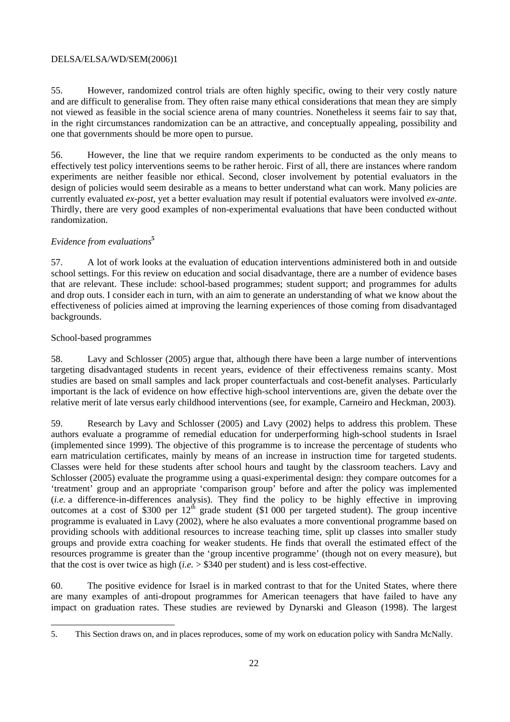55. However, randomized control trials are often highly specific, owing to their very costly nature and are difficult to generalise from. They often raise many ethical considerations that mean they are simply not viewed as feasible in the social science arena of many countries. Nonetheless it seems fair to say that, in the right circumstances randomization can be an attractive, and conceptually appealing, possibility and one that governments should be more open to pursue.

56. However, the line that we require random experiments to be conducted as the only means to effectively test policy interventions seems to be rather heroic. First of all, there are instances where random experiments are neither feasible nor ethical. Second, closer involvement by potential evaluators in the design of policies would seem desirable as a means to better understand what can work. Many policies are currently evaluated *ex-post*, yet a better evaluation may result if potential evaluators were involved *ex-ante*. Thirdly, there are very good examples of non-experimental evaluations that have been conducted without randomization.

#### *Evidence from evaluation[s](#page-22-0)***<sup>5</sup>**

57. A lot of work looks at the evaluation of education interventions administered both in and outside school settings. For this review on education and social disadvantage, there are a number of evidence bases that are relevant. These include: school-based programmes; student support; and programmes for adults and drop outs. I consider each in turn, with an aim to generate an understanding of what we know about the effectiveness of policies aimed at improving the learning experiences of those coming from disadvantaged backgrounds.

#### School-based programmes

 $\overline{a}$ 

58. Lavy and Schlosser (2005) argue that, although there have been a large number of interventions targeting disadvantaged students in recent years, evidence of their effectiveness remains scanty. Most studies are based on small samples and lack proper counterfactuals and cost-benefit analyses. Particularly important is the lack of evidence on how effective high-school interventions are, given the debate over the relative merit of late versus early childhood interventions (see, for example, Carneiro and Heckman, 2003).

59. Research by Lavy and Schlosser (2005) and Lavy (2002) helps to address this problem. These authors evaluate a programme of remedial education for underperforming high-school students in Israel (implemented since 1999). The objective of this programme is to increase the percentage of students who earn matriculation certificates, mainly by means of an increase in instruction time for targeted students. Classes were held for these students after school hours and taught by the classroom teachers. Lavy and Schlosser (2005) evaluate the programme using a quasi-experimental design: they compare outcomes for a 'treatment' group and an appropriate 'comparison group' before and after the policy was implemented (*i.e.* a difference-in-differences analysis). They find the policy to be highly effective in improving outcomes at a cost of \$300 per  $12^{th}$  grade student (\$1 000 per targeted student). The group incentive programme is evaluated in Lavy (2002), where he also evaluates a more conventional programme based on providing schools with additional resources to increase teaching time, split up classes into smaller study groups and provide extra coaching for weaker students. He finds that overall the estimated effect of the resources programme is greater than the 'group incentive programme' (though not on every measure), but that the cost is over twice as high  $(i.e. > $340$  per student) and is less cost-effective.

60. The positive evidence for Israel is in marked contrast to that for the United States, where there are many examples of anti-dropout programmes for American teenagers that have failed to have any impact on graduation rates. These studies are reviewed by Dynarski and Gleason (1998). The largest

<span id="page-22-0"></span><sup>5.</sup> This Section draws on, and in places reproduces, some of my work on education policy with Sandra McNally.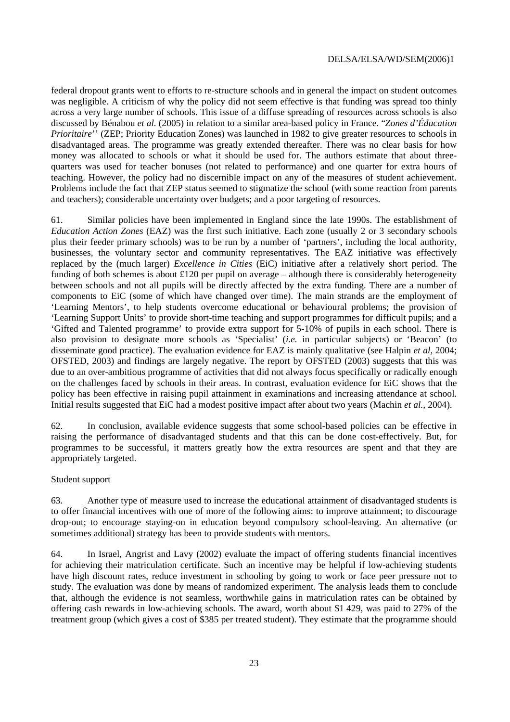federal dropout grants went to efforts to re-structure schools and in general the impact on student outcomes was negligible. A criticism of why the policy did not seem effective is that funding was spread too thinly across a very large number of schools. This issue of a diffuse spreading of resources across schools is also discussed by Bénabou *et al.* (2005) in relation to a similar area-based policy in France. "*Zones d'Éducation Prioritaire*'' (ZEP; Priority Education Zones) was launched in 1982 to give greater resources to schools in disadvantaged areas. The programme was greatly extended thereafter. There was no clear basis for how money was allocated to schools or what it should be used for. The authors estimate that about threequarters was used for teacher bonuses (not related to performance) and one quarter for extra hours of teaching. However, the policy had no discernible impact on any of the measures of student achievement. Problems include the fact that ZEP status seemed to stigmatize the school (with some reaction from parents and teachers); considerable uncertainty over budgets; and a poor targeting of resources.

61. Similar policies have been implemented in England since the late 1990s. The establishment of *Education Action Zones* (EAZ) was the first such initiative. Each zone (usually 2 or 3 secondary schools plus their feeder primary schools) was to be run by a number of 'partners', including the local authority, businesses, the voluntary sector and community representatives. The EAZ initiative was effectively replaced by the (much larger) *Excellence in Cities* (EiC) initiative after a relatively short period. The funding of both schemes is about  $\pounds$ 120 per pupil on average – although there is considerably heterogeneity between schools and not all pupils will be directly affected by the extra funding. There are a number of components to EiC (some of which have changed over time). The main strands are the employment of 'Learning Mentors', to help students overcome educational or behavioural problems; the provision of 'Learning Support Units' to provide short-time teaching and support programmes for difficult pupils; and a 'Gifted and Talented programme' to provide extra support for 5-10% of pupils in each school. There is also provision to designate more schools as 'Specialist' (*i.e.* in particular subjects) or 'Beacon' (to disseminate good practice). The evaluation evidence for EAZ is mainly qualitative (see Halpin *et al*, 2004; OFSTED, 2003) and findings are largely negative. The report by OFSTED (2003) suggests that this was due to an over-ambitious programme of activities that did not always focus specifically or radically enough on the challenges faced by schools in their areas. In contrast, evaluation evidence for EiC shows that the policy has been effective in raising pupil attainment in examinations and increasing attendance at school. Initial results suggested that EiC had a modest positive impact after about two years (Machin *et al.,* 2004).

62. In conclusion, available evidence suggests that some school-based policies can be effective in raising the performance of disadvantaged students and that this can be done cost-effectively. But, for programmes to be successful, it matters greatly how the extra resources are spent and that they are appropriately targeted.

#### Student support

63. Another type of measure used to increase the educational attainment of disadvantaged students is to offer financial incentives with one of more of the following aims: to improve attainment; to discourage drop-out; to encourage staying-on in education beyond compulsory school-leaving. An alternative (or sometimes additional) strategy has been to provide students with mentors.

64. In Israel, Angrist and Lavy (2002) evaluate the impact of offering students financial incentives for achieving their matriculation certificate. Such an incentive may be helpful if low-achieving students have high discount rates, reduce investment in schooling by going to work or face peer pressure not to study. The evaluation was done by means of randomized experiment. The analysis leads them to conclude that, although the evidence is not seamless, worthwhile gains in matriculation rates can be obtained by offering cash rewards in low-achieving schools. The award, worth about \$1 429, was paid to 27% of the treatment group (which gives a cost of \$385 per treated student). They estimate that the programme should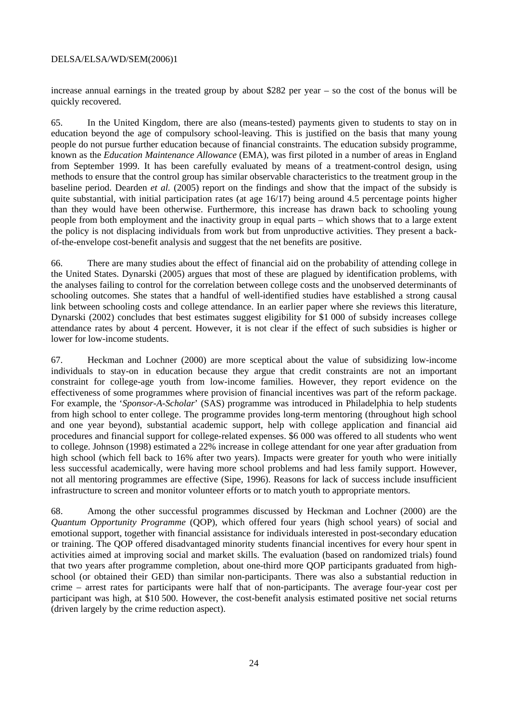increase annual earnings in the treated group by about \$282 per year – so the cost of the bonus will be quickly recovered.

65. In the United Kingdom, there are also (means-tested) payments given to students to stay on in education beyond the age of compulsory school-leaving. This is justified on the basis that many young people do not pursue further education because of financial constraints. The education subsidy programme, known as the *Education Maintenance Allowance* (EMA), was first piloted in a number of areas in England from September 1999. It has been carefully evaluated by means of a treatment-control design, using methods to ensure that the control group has similar observable characteristics to the treatment group in the baseline period. Dearden *et al.* (2005) report on the findings and show that the impact of the subsidy is quite substantial, with initial participation rates (at age 16/17) being around 4.5 percentage points higher than they would have been otherwise. Furthermore, this increase has drawn back to schooling young people from both employment and the inactivity group in equal parts – which shows that to a large extent the policy is not displacing individuals from work but from unproductive activities. They present a backof-the-envelope cost-benefit analysis and suggest that the net benefits are positive.

66. There are many studies about the effect of financial aid on the probability of attending college in the United States. Dynarski (2005) argues that most of these are plagued by identification problems, with the analyses failing to control for the correlation between college costs and the unobserved determinants of schooling outcomes. She states that a handful of well-identified studies have established a strong causal link between schooling costs and college attendance. In an earlier paper where she reviews this literature, Dynarski (2002) concludes that best estimates suggest eligibility for \$1 000 of subsidy increases college attendance rates by about 4 percent. However, it is not clear if the effect of such subsidies is higher or lower for low-income students.

67. Heckman and Lochner (2000) are more sceptical about the value of subsidizing low-income individuals to stay-on in education because they argue that credit constraints are not an important constraint for college-age youth from low-income families. However, they report evidence on the effectiveness of some programmes where provision of financial incentives was part of the reform package. For example, the '*Sponsor-A-Scholar*' (SAS) programme was introduced in Philadelphia to help students from high school to enter college. The programme provides long-term mentoring (throughout high school and one year beyond), substantial academic support, help with college application and financial aid procedures and financial support for college-related expenses. \$6 000 was offered to all students who went to college. Johnson (1998) estimated a 22% increase in college attendant for one year after graduation from high school (which fell back to 16% after two years). Impacts were greater for youth who were initially less successful academically, were having more school problems and had less family support. However, not all mentoring programmes are effective (Sipe, 1996). Reasons for lack of success include insufficient infrastructure to screen and monitor volunteer efforts or to match youth to appropriate mentors.

68. Among the other successful programmes discussed by Heckman and Lochner (2000) are the *Quantum Opportunity Programme* (QOP), which offered four years (high school years) of social and emotional support, together with financial assistance for individuals interested in post-secondary education or training. The QOP offered disadvantaged minority students financial incentives for every hour spent in activities aimed at improving social and market skills. The evaluation (based on randomized trials) found that two years after programme completion, about one-third more QOP participants graduated from highschool (or obtained their GED) than similar non-participants. There was also a substantial reduction in crime – arrest rates for participants were half that of non-participants. The average four-year cost per participant was high, at \$10 500. However, the cost-benefit analysis estimated positive net social returns (driven largely by the crime reduction aspect).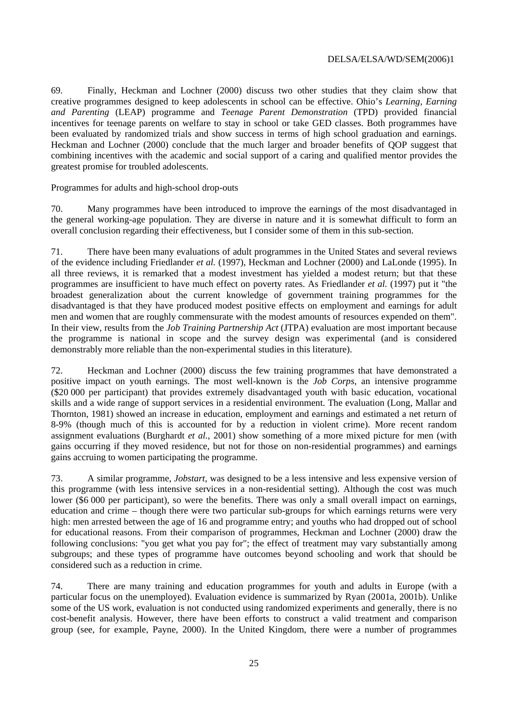69. Finally, Heckman and Lochner (2000) discuss two other studies that they claim show that creative programmes designed to keep adolescents in school can be effective. Ohio's *Learning, Earning and Parenting* (LEAP) programme and *Teenage Parent Demonstration* (TPD) provided financial incentives for teenage parents on welfare to stay in school or take GED classes. Both programmes have been evaluated by randomized trials and show success in terms of high school graduation and earnings. Heckman and Lochner (2000) conclude that the much larger and broader benefits of QOP suggest that combining incentives with the academic and social support of a caring and qualified mentor provides the greatest promise for troubled adolescents.

Programmes for adults and high-school drop-outs

70. Many programmes have been introduced to improve the earnings of the most disadvantaged in the general working-age population. They are diverse in nature and it is somewhat difficult to form an overall conclusion regarding their effectiveness, but I consider some of them in this sub-section.

71. There have been many evaluations of adult programmes in the United States and several reviews of the evidence including Friedlander *et al.* (1997), Heckman and Lochner (2000) and LaLonde (1995). In all three reviews, it is remarked that a modest investment has yielded a modest return; but that these programmes are insufficient to have much effect on poverty rates. As Friedlander *et al.* (1997) put it "the broadest generalization about the current knowledge of government training programmes for the disadvantaged is that they have produced modest positive effects on employment and earnings for adult men and women that are roughly commensurate with the modest amounts of resources expended on them". In their view, results from the *Job Training Partnership Act* (JTPA) evaluation are most important because the programme is national in scope and the survey design was experimental (and is considered demonstrably more reliable than the non-experimental studies in this literature).

72. Heckman and Lochner (2000) discuss the few training programmes that have demonstrated a positive impact on youth earnings. The most well-known is the *Job Corps*, an intensive programme (\$20 000 per participant) that provides extremely disadvantaged youth with basic education, vocational skills and a wide range of support services in a residential environment. The evaluation (Long, Mallar and Thornton, 1981) showed an increase in education, employment and earnings and estimated a net return of 8-9% (though much of this is accounted for by a reduction in violent crime). More recent random assignment evaluations (Burghardt *et al.*, 2001) show something of a more mixed picture for men (with gains occurring if they moved residence, but not for those on non-residential programmes) and earnings gains accruing to women participating the programme.

73. A similar programme, *Jobstart*, was designed to be a less intensive and less expensive version of this programme (with less intensive services in a non-residential setting). Although the cost was much lower (\$6 000 per participant), so were the benefits. There was only a small overall impact on earnings, education and crime – though there were two particular sub-groups for which earnings returns were very high: men arrested between the age of 16 and programme entry; and youths who had dropped out of school for educational reasons. From their comparison of programmes, Heckman and Lochner (2000) draw the following conclusions: "you get what you pay for"; the effect of treatment may vary substantially among subgroups; and these types of programme have outcomes beyond schooling and work that should be considered such as a reduction in crime.

74. There are many training and education programmes for youth and adults in Europe (with a particular focus on the unemployed). Evaluation evidence is summarized by Ryan (2001a, 2001b). Unlike some of the US work, evaluation is not conducted using randomized experiments and generally, there is no cost-benefit analysis. However, there have been efforts to construct a valid treatment and comparison group (see, for example, Payne, 2000). In the United Kingdom, there were a number of programmes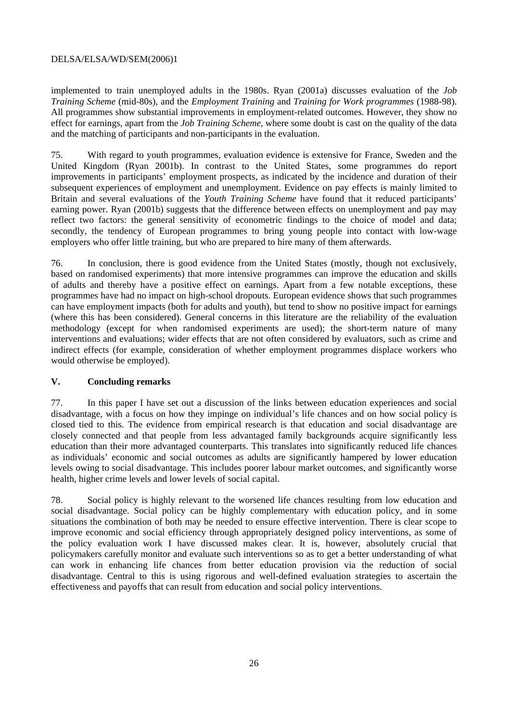<span id="page-26-0"></span>implemented to train unemployed adults in the 1980s. Ryan (2001a) discusses evaluation of the *Job Training Scheme* (mid-80s), and the *Employment Training* and *Training for Work programmes* (1988-98). All programmes show substantial improvements in employment-related outcomes. However, they show no effect for earnings, apart from the *Job Training Scheme*, where some doubt is cast on the quality of the data and the matching of participants and non-participants in the evaluation.

75. With regard to youth programmes, evaluation evidence is extensive for France, Sweden and the United Kingdom (Ryan 2001b). In contrast to the United States, some programmes do report improvements in participants' employment prospects, as indicated by the incidence and duration of their subsequent experiences of employment and unemployment. Evidence on pay effects is mainly limited to Britain and several evaluations of the *Youth Training Scheme* have found that it reduced participants' earning power. Ryan (2001b) suggests that the difference between effects on unemployment and pay may reflect two factors: the general sensitivity of econometric findings to the choice of model and data; secondly, the tendency of European programmes to bring young people into contact with low-wage employers who offer little training, but who are prepared to hire many of them afterwards.

76. In conclusion, there is good evidence from the United States (mostly, though not exclusively, based on randomised experiments) that more intensive programmes can improve the education and skills of adults and thereby have a positive effect on earnings. Apart from a few notable exceptions, these programmes have had no impact on high-school dropouts. European evidence shows that such programmes can have employment impacts (both for adults and youth), but tend to show no positive impact for earnings (where this has been considered). General concerns in this literature are the reliability of the evaluation methodology (except for when randomised experiments are used); the short-term nature of many interventions and evaluations; wider effects that are not often considered by evaluators, such as crime and indirect effects (for example, consideration of whether employment programmes displace workers who would otherwise be employed).

#### **V. Concluding remarks**

77. In this paper I have set out a discussion of the links between education experiences and social disadvantage, with a focus on how they impinge on individual's life chances and on how social policy is closed tied to this. The evidence from empirical research is that education and social disadvantage are closely connected and that people from less advantaged family backgrounds acquire significantly less education than their more advantaged counterparts. This translates into significantly reduced life chances as individuals' economic and social outcomes as adults are significantly hampered by lower education levels owing to social disadvantage. This includes poorer labour market outcomes, and significantly worse health, higher crime levels and lower levels of social capital.

78. Social policy is highly relevant to the worsened life chances resulting from low education and social disadvantage. Social policy can be highly complementary with education policy, and in some situations the combination of both may be needed to ensure effective intervention. There is clear scope to improve economic and social efficiency through appropriately designed policy interventions, as some of the policy evaluation work I have discussed makes clear. It is, however, absolutely crucial that policymakers carefully monitor and evaluate such interventions so as to get a better understanding of what can work in enhancing life chances from better education provision via the reduction of social disadvantage. Central to this is using rigorous and well-defined evaluation strategies to ascertain the effectiveness and payoffs that can result from education and social policy interventions.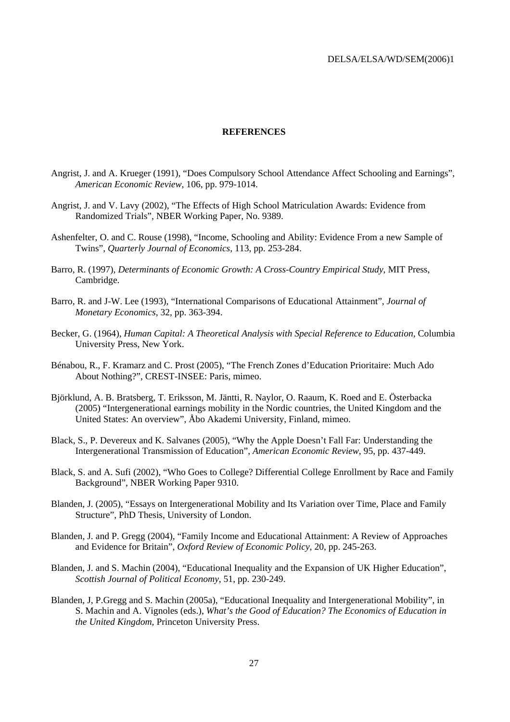#### **REFERENCES**

- <span id="page-27-0"></span>Angrist, J. and A. Krueger (1991), "Does Compulsory School Attendance Affect Schooling and Earnings", *American Economic Review*, 106, pp. 979-1014.
- Angrist, J. and V. Lavy (2002), "The Effects of High School Matriculation Awards: Evidence from Randomized Trials", NBER Working Paper, No. 9389.
- Ashenfelter, O. and C. Rouse (1998), "Income, Schooling and Ability: Evidence From a new Sample of Twins", *Quarterly Journal of Economics*, 113, pp. 253-284.
- Barro, R. (1997), *Determinants of Economic Growth: A Cross-Country Empirical Study*, MIT Press, Cambridge.
- Barro, R. and J-W. Lee (1993), "International Comparisons of Educational Attainment", *Journal of Monetary Economics*, 32, pp. 363-394.
- Becker, G. (1964), *Human Capital: A Theoretical Analysis with Special Reference to Education*, Columbia University Press, New York.
- Bénabou, R., F. Kramarz and C. Prost (2005), "The French Zones d'Education Prioritaire: Much Ado About Nothing?", CREST-INSEE: Paris, mimeo.
- Björklund, A. B. Bratsberg, T. Eriksson, M. Jäntti, R. Naylor, O. Raaum, K. Roed and E. Österbacka (2005) "Intergenerational earnings mobility in the Nordic countries, the United Kingdom and the United States: An overview", Åbo Akademi University, Finland, mimeo.
- Black, S., P. Devereux and K. Salvanes (2005), "Why the Apple Doesn't Fall Far: Understanding the Intergenerational Transmission of Education", *American Economic Review*, 95, pp. 437-449.
- Black, S. and A. Sufi (2002), "Who Goes to College? Differential College Enrollment by Race and Family Background", NBER Working Paper 9310.
- Blanden, J. (2005), "Essays on Intergenerational Mobility and Its Variation over Time, Place and Family Structure", PhD Thesis, University of London.
- Blanden, J. and P. Gregg (2004), "Family Income and Educational Attainment: A Review of Approaches and Evidence for Britain", *Oxford Review of Economic Policy*, 20, pp. 245-263.
- Blanden, J. and S. Machin (2004), "Educational Inequality and the Expansion of UK Higher Education", *Scottish Journal of Political Economy*, 51, pp. 230-249.
- Blanden, J, P.Gregg and S. Machin (2005a), "Educational Inequality and Intergenerational Mobility", in S. Machin and A. Vignoles (eds.), *What's the Good of Education? The Economics of Education in the United Kingdom,* Princeton University Press.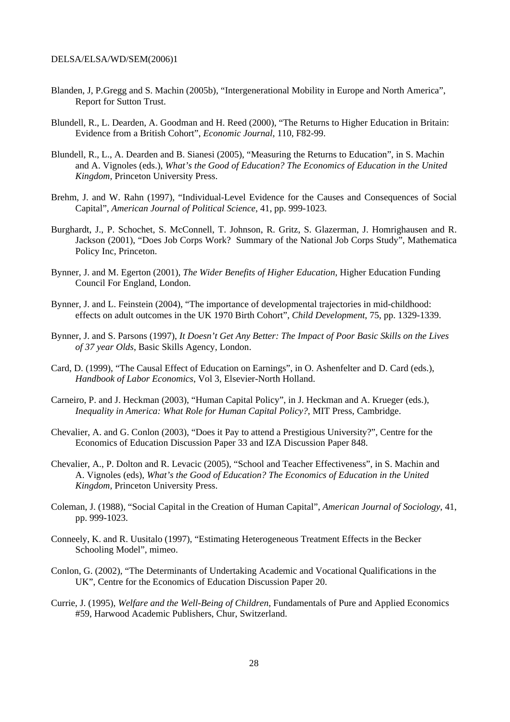- Blanden, J, P.Gregg and S. Machin (2005b), "Intergenerational Mobility in Europe and North America", Report for Sutton Trust.
- Blundell, R., L. Dearden, A. Goodman and H. Reed (2000), "The Returns to Higher Education in Britain: Evidence from a British Cohort", *Economic Journal*, 110, F82-99.
- Blundell, R., L., A. Dearden and B. Sianesi (2005), "Measuring the Returns to Education", in S. Machin and A. Vignoles (eds.), *What's the Good of Education? The Economics of Education in the United Kingdom,* Princeton University Press.
- Brehm, J. and W. Rahn (1997), "Individual-Level Evidence for the Causes and Consequences of Social Capital", *American Journal of Political Science*, 41, pp. 999-1023.
- Burghardt, J., P. Schochet, S. McConnell, T. Johnson, R. Gritz, S. Glazerman, J. Homrighausen and R. Jackson (2001), "Does Job Corps Work? Summary of the National Job Corps Study", Mathematica Policy Inc, Princeton.
- Bynner, J. and M. Egerton (2001), *The Wider Benefits of Higher Education*, Higher Education Funding Council For England, London.
- Bynner, J. and L. Feinstein (2004), "The importance of developmental trajectories in mid-childhood: effects on adult outcomes in the UK 1970 Birth Cohort", *Child Development*, 75, pp. 1329-1339.
- Bynner, J. and S. Parsons (1997), *It Doesn't Get Any Better: The Impact of Poor Basic Skills on the Lives of 37 year Olds*, Basic Skills Agency, London.
- Card, D. (1999), "The Causal Effect of Education on Earnings", in O. Ashenfelter and D. Card (eds.), *Handbook of Labor Economics*, Vol 3, Elsevier-North Holland.
- Carneiro, P. and J. Heckman (2003), "Human Capital Policy", in J. Heckman and A. Krueger (eds.), *Inequality in America: What Role for Human Capital Policy?*, MIT Press, Cambridge.
- Chevalier, A. and G. Conlon (2003), "Does it Pay to attend a Prestigious University?", Centre for the Economics of Education Discussion Paper 33 and IZA Discussion Paper 848.
- Chevalier, A., P. Dolton and R. Levacic (2005), "School and Teacher Effectiveness", in S. Machin and A. Vignoles (eds), *What's the Good of Education? The Economics of Education in the United Kingdom,* Princeton University Press.
- Coleman, J. (1988), "Social Capital in the Creation of Human Capital", *American Journal of Sociology*, 41, pp. 999-1023.
- Conneely, K. and R. Uusitalo (1997), "Estimating Heterogeneous Treatment Effects in the Becker Schooling Model", mimeo.
- Conlon, G. (2002), "The Determinants of Undertaking Academic and Vocational Qualifications in the UK", Centre for the Economics of Education Discussion Paper 20.
- Currie, J. (1995), *Welfare and the Well-Being of Children*, Fundamentals of Pure and Applied Economics #59, Harwood Academic Publishers, Chur, Switzerland.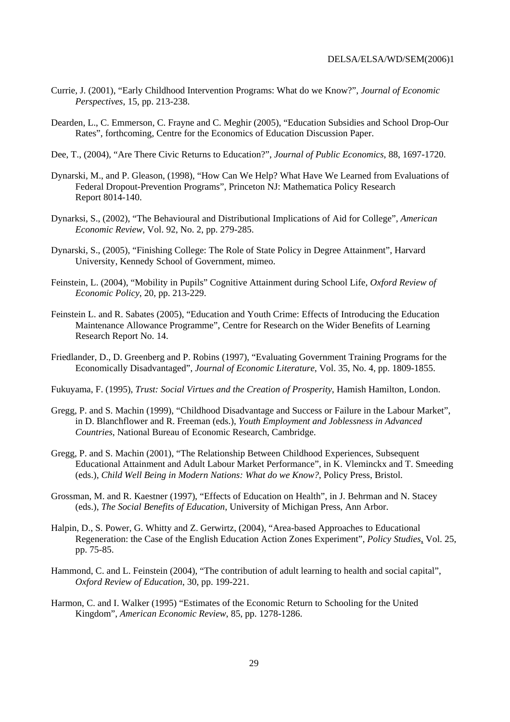- Currie, J. (2001), "Early Childhood Intervention Programs: What do we Know?", *Journal of Economic Perspectives*, 15, pp. 213-238.
- Dearden, L., C. Emmerson, C. Frayne and C. Meghir (2005), "Education Subsidies and School Drop-Our Rates", forthcoming, Centre for the Economics of Education Discussion Paper.
- Dee, T., (2004), "Are There Civic Returns to Education?", *Journal of Public Economics*, 88, 1697-1720.
- Dynarski, M., and P. Gleason, (1998), "How Can We Help? What Have We Learned from Evaluations of Federal Dropout-Prevention Programs", Princeton NJ: Mathematica Policy Research Report 8014-140.
- Dynarksi, S., (2002), "The Behavioural and Distributional Implications of Aid for College", *American Economic Review*, Vol. 92, No. 2, pp. 279-285.
- Dynarski, S., (2005), "Finishing College: The Role of State Policy in Degree Attainment", Harvard University, Kennedy School of Government, mimeo.
- Feinstein, L. (2004), "Mobility in Pupils" Cognitive Attainment during School Life, *Oxford Review of Economic Policy*, 20, pp. 213-229.
- Feinstein L. and R. Sabates (2005), ["Education and Youth Crime: Effects of Introducing the Education](http://www.learningbenefits.net/pdf/researchReports/ResRep14.pdf)  [Maintenance Allowance Programme", C](http://www.learningbenefits.net/pdf/researchReports/ResRep14.pdf)entre for Research on the Wider Benefits of Learning Research Report No. 14.
- Friedlander, D., D. Greenberg and P. Robins (1997), "Evaluating Government Training Programs for the Economically Disadvantaged", *Journal of Economic Literature*, Vol. 35, No. 4, pp. 1809-1855.
- Fukuyama, F. (1995), *Trust: Social Virtues and the Creation of Prosperity*, Hamish Hamilton, London.
- Gregg, P. and S. Machin (1999), "Childhood Disadvantage and Success or Failure in the Labour Market", in D. Blanchflower and R. Freeman (eds.), *Youth Employment and Joblessness in Advanced Countries*, National Bureau of Economic Research, Cambridge.
- Gregg, P. and S. Machin (2001), "The Relationship Between Childhood Experiences, Subsequent Educational Attainment and Adult Labour Market Performance", in K. Vleminckx and T. Smeeding (eds.), *Child Well Being in Modern Nations: What do we Know?*, Policy Press, Bristol.
- Grossman, M. and R. Kaestner (1997), "Effects of Education on Health", in J. Behrman and N. Stacey (eds.), *The Social Benefits of Education*, University of Michigan Press, Ann Arbor.
- Halpin, D., S. Power, G. Whitty and Z. Gerwirtz, (2004), "Area-based Approaches to Educational Regeneration: the Case of the English Education Action Zones Experiment", *Policy Studies*, Vol. 25, pp. 75-85.
- Hammond, C. and L. Feinstein (2004), "The contribution of adult learning to health and social capital", *Oxford Review of Education*, 30, pp. 199-221.
- Harmon, C. and I. Walker (1995) "Estimates of the Economic Return to Schooling for the United Kingdom", *American Economic Review*, 85, pp. 1278-1286.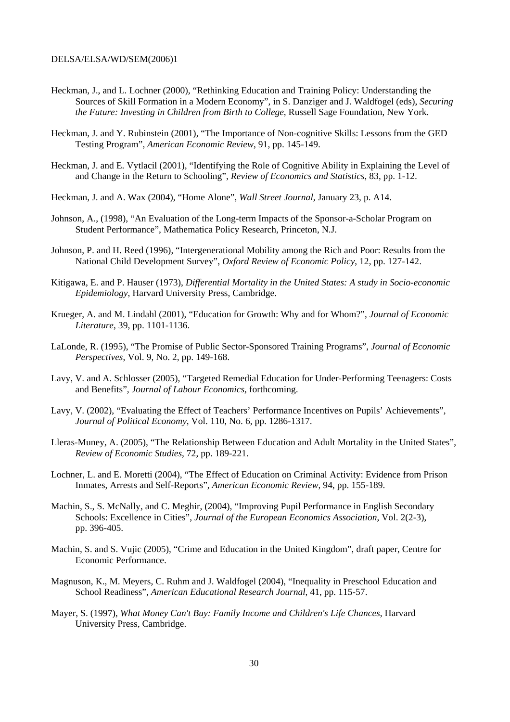- Heckman, J., and L. Lochner (2000), "Rethinking Education and Training Policy: Understanding the Sources of Skill Formation in a Modern Economy", in S. Danziger and J. Waldfogel (eds), *Securing the Future: Investing in Children from Birth to College*, Russell Sage Foundation, New York.
- Heckman, J. and Y. Rubinstein (2001), "The Importance of Non-cognitive Skills: Lessons from the GED Testing Program", *American Economic Review*, 91, pp. 145-149.
- Heckman, J. and E. Vytlacil (2001), "Identifying the Role of Cognitive Ability in Explaining the Level of and Change in the Return to Schooling", *Review of Economics and Statistics*, 83, pp. 1-12.
- Heckman, J. and A. Wax (2004), "Home Alone", *Wall Street Journal*, January 23, p. A14.
- Johnson, A., (1998), "An Evaluation of the Long-term Impacts of the Sponsor-a-Scholar Program on Student Performance", Mathematica Policy Research, Princeton, N.J.
- Johnson, P. and H. Reed (1996), "Intergenerational Mobility among the Rich and Poor: Results from the National Child Development Survey", *Oxford Review of Economic Policy*, 12, pp. 127-142.
- Kitigawa, E. and P. Hauser (1973), *Differential Mortality in the United States: A study in Socio-economic Epidemiology*, Harvard University Press, Cambridge.
- Krueger, A. and M. Lindahl (2001), "Education for Growth: Why and for Whom?", *Journal of Economic Literature*, 39, pp. 1101-1136.
- LaLonde, R. (1995), "The Promise of Public Sector-Sponsored Training Programs", *Journal of Economic Perspectives*, Vol. 9, No. 2, pp. 149-168.
- Lavy, V. and A. Schlosser (2005), "Targeted Remedial Education for Under-Performing Teenagers: Costs and Benefits", *Journal of Labour Economics*, forthcoming.
- Lavy, V. (2002), "Evaluating the Effect of Teachers' Performance Incentives on Pupils' Achievements", *Journal of Political Economy*, Vol. 110, No. 6, pp. 1286-1317.
- Lleras-Muney, A. (2005), "The Relationship Between Education and Adult Mortality in the United States", *Review of Economic Studies*, 72, pp. 189-221.
- Lochner, L. and E. Moretti (2004), "The Effect of Education on Criminal Activity: Evidence from Prison Inmates, Arrests and Self-Reports", *American Economic Review*, 94, pp. 155-189.
- Machin, S., S. McNally, and C. Meghir, (2004), "Improving Pupil Performance in English Secondary Schools: Excellence in Cities", *Journal of the European Economics Association*, Vol. 2(2-3), pp. 396-405.
- Machin, S. and S. Vujic (2005), "Crime and Education in the United Kingdom", draft paper, Centre for Economic Performance.
- Magnuson, K., M. Meyers, C. Ruhm and J. Waldfogel (2004), "Inequality in Preschool Education and School Readiness", *American Educational Research Journal*, 41, pp. 115-57.
- Mayer, S. (1997), *What Money Can't Buy: Family Income and Children's Life Chances*, Harvard University Press, Cambridge.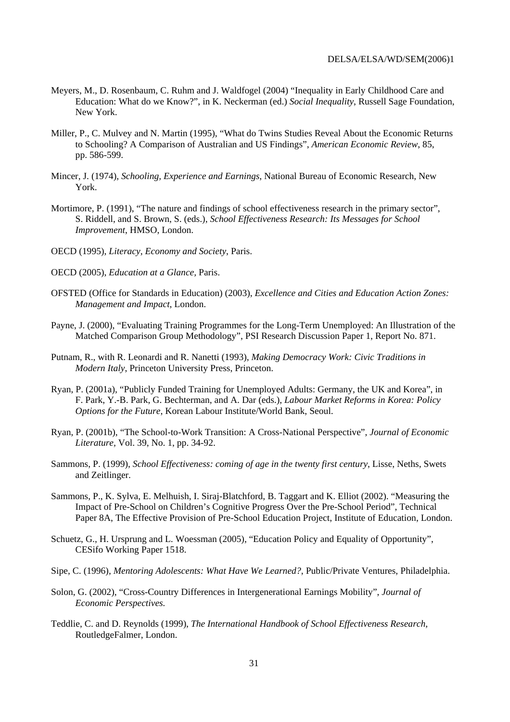- Meyers, M., D. Rosenbaum, C. Ruhm and J. Waldfogel (2004) "Inequality in Early Childhood Care and Education: What do we Know?", in K. Neckerman (ed.) *Social Inequality*, Russell Sage Foundation, New York.
- Miller, P., C. Mulvey and N. Martin (1995), "What do Twins Studies Reveal About the Economic Returns to Schooling? A Comparison of Australian and US Findings", *American Economic Review*, 85, pp. 586-599.
- Mincer, J. (1974), *Schooling, Experience and Earnings*, National Bureau of Economic Research, New York.
- Mortimore, P. (1991), "The nature and findings of school effectiveness research in the primary sector", S. Riddell, and S. Brown, S. (eds.), *School Effectiveness Research: Its Messages for School Improvement*, HMSO, London.
- OECD (1995), *Literacy, Economy and Society*, Paris.
- OECD (2005), *Education at a Glance,* Paris.
- OFSTED (Office for Standards in Education) (2003), *Excellence and Cities and Education Action Zones: Management and Impact*, London.
- Payne, J. (2000), "Evaluating Training Programmes for the Long-Term Unemployed: An Illustration of the Matched Comparison Group Methodology", PSI Research Discussion Paper 1, Report No. 871.
- Putnam, R., with R. Leonardi and R. Nanetti (1993), *Making Democracy Work: Civic Traditions in Modern Italy*, Princeton University Press, Princeton.
- Ryan, P. (2001a), "Publicly Funded Training for Unemployed Adults: Germany, the UK and Korea", in F. Park, Y.-B. Park, G. Bechterman, and A. Dar (eds.), *Labour Market Reforms in Korea: Policy Options for the Future*, Korean Labour Institute/World Bank, Seoul.
- Ryan, P. (2001b), "The School-to-Work Transition: A Cross-National Perspective", *Journal of Economic Literature,* Vol. 39, No. 1, pp. 34-92.
- Sammons, P. (1999), *School Effectiveness: coming of age in the twenty first century*, Lisse, Neths, Swets and Zeitlinger.
- Sammons, P., K. Sylva, E. Melhuish, I. Siraj-Blatchford, B. Taggart and K. Elliot (2002). "Measuring the Impact of Pre-School on Children's Cognitive Progress Over the Pre-School Period", Technical Paper 8A, The Effective Provision of Pre-School Education Project, Institute of Education, London.
- Schuetz, G., H. Ursprung and L. Woessman (2005), "Education Policy and Equality of Opportunity", CESifo Working Paper 1518.
- Sipe, C. (1996), *Mentoring Adolescents: What Have We Learned?*, Public/Private Ventures, Philadelphia.
- Solon, G. (2002), "Cross-Country Differences in Intergenerational Earnings Mobility", *Journal of Economic Perspectives.*
- Teddlie, C. and D. Reynolds (1999), *The International Handbook of School Effectiveness Research,*  RoutledgeFalmer, London.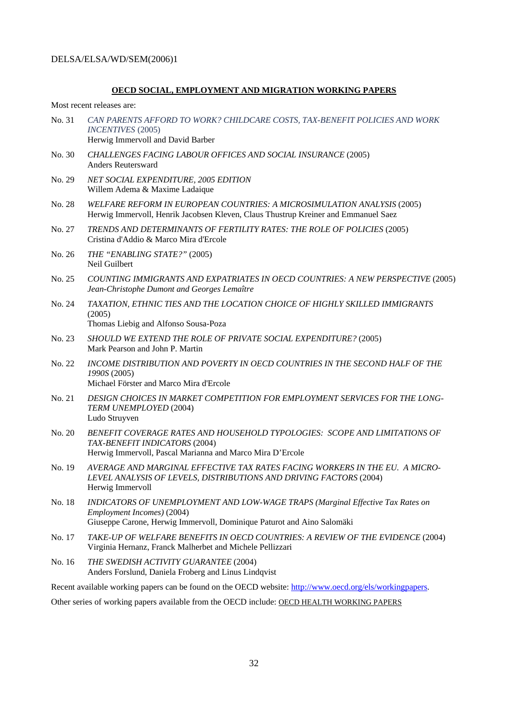#### **OECD SOCIAL, EMPLOYMENT AND MIGRATION WORKING PAPERS**

Most recent releases are:

- No. 31 *CAN PARENTS AFFORD TO WORK? CHILDCARE COSTS, TAX-BENEFIT POLICIES AND WORK INCENTIVES* (2005) Herwig Immervoll and David Barber
- No. 30 *CHALLENGES FACING LABOUR OFFICES AND SOCIAL INSURANCE* (2005) Anders Reutersward
- No. 29 *NET SOCIAL EXPENDITURE, 2005 EDITION* Willem Adema & Maxime Ladaique
- No. 28 *WELFARE REFORM IN EUROPEAN COUNTRIES: A MICROSIMULATION ANALYSIS* (2005) Herwig Immervoll, Henrik Jacobsen Kleven, Claus Thustrup Kreiner and Emmanuel Saez
- No. 27 *TRENDS AND DETERMINANTS OF FERTILITY RATES: THE ROLE OF POLICIES* (2005) Cristina d'Addio & Marco Mira d'Ercole
- No. 26 *THE "ENABLING STATE?"* (2005) Neil Guilbert
- No. 25 *COUNTING IMMIGRANTS AND EXPATRIATES IN OECD COUNTRIES: A NEW PERSPECTIVE* (2005) *Jean-Christophe Dumont and Georges Lemaître*
- No. 24 *TAXATION, ETHNIC TIES AND THE LOCATION CHOICE OF HIGHLY SKILLED IMMIGRANTS* (2005) Thomas Liebig and Alfonso Sousa-Poza
- No. 23 *SHOULD WE EXTEND THE ROLE OF PRIVATE SOCIAL EXPENDITURE?* (2005) Mark Pearson and John P. Martin
- No. 22 *INCOME DISTRIBUTION AND POVERTY IN OECD COUNTRIES IN THE SECOND HALF OF THE 1990S* (2005) Michael Förster and Marco Mira d'Ercole
- No. 21 *DESIGN CHOICES IN MARKET COMPETITION FOR EMPLOYMENT SERVICES FOR THE LONG-TERM UNEMPLOYED* (2004) Ludo Struyven
- No. 20 *BENEFIT COVERAGE RATES AND HOUSEHOLD TYPOLOGIES: SCOPE AND LIMITATIONS OF TAX-BENEFIT INDICATORS* (2004) Herwig Immervoll, Pascal Marianna and Marco Mira D'Ercole
- No. 19 *AVERAGE AND MARGINAL EFFECTIVE TAX RATES FACING WORKERS IN THE EU. A MICRO-LEVEL ANALYSIS OF LEVELS, DISTRIBUTIONS AND DRIVING FACTORS* (2004) Herwig Immervoll
- No. 18 *INDICATORS OF UNEMPLOYMENT AND LOW-WAGE TRAPS (Marginal Effective Tax Rates on Employment Incomes)* (2004) Giuseppe Carone, Herwig Immervoll, Dominique Paturot and Aino Salomäki
- No. 17 *TAKE-UP OF WELFARE BENEFITS IN OECD COUNTRIES: A REVIEW OF THE EVIDENCE* (2004) Virginia Hernanz, Franck Malherbet and Michele Pellizzari
- No. 16 *THE SWEDISH ACTIVITY GUARANTEE* (2004) Anders Forslund, Daniela Froberg and Linus Lindqvist

Recent available working papers can be found on the OECD website: [http://www.oecd.org/els/workingpapers.](http://www.oecd.org/els/workingpapers)

Other series of working papers available from the OECD include: OECD HEALTH WORKING PAPERS